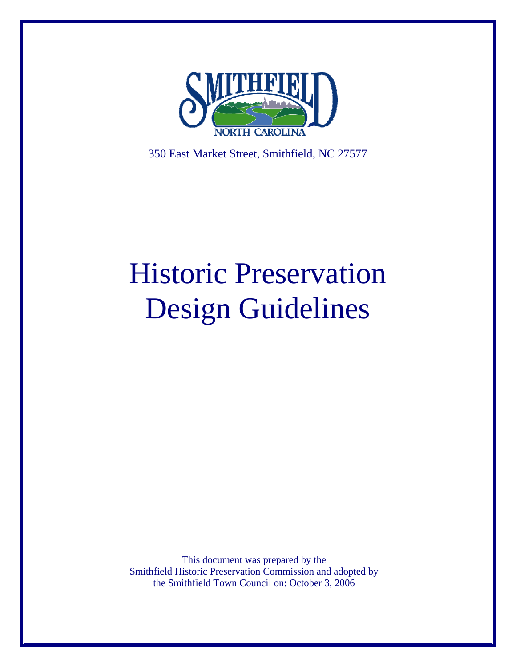

350 East Market Street, Smithfield, NC 27577

# Historic Preservation Design Guidelines

This document was prepared by the Smithfield Historic Preservation Commission and adopted by the Smithfield Town Council on: October 3, 2006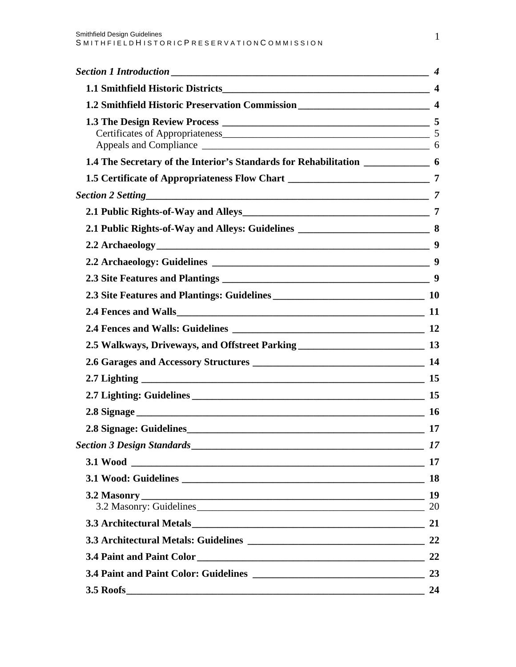|                                                                                      | $\boldsymbol{4}$ |
|--------------------------------------------------------------------------------------|------------------|
| <b>1.1 Smithfield Historic Districts</b>                                             |                  |
| 1.2 Smithfield Historic Preservation Commission ________________________________ 4   |                  |
|                                                                                      |                  |
| 1.4 The Secretary of the Interior's Standards for Rehabilitation ________________ 6  |                  |
| 1.5 Certificate of Appropriateness Flow Chart ___________________________________ 7  |                  |
|                                                                                      |                  |
|                                                                                      |                  |
| 2.1 Public Rights-of-Way and Alleys: Guidelines _________________________________ 8  |                  |
|                                                                                      |                  |
|                                                                                      |                  |
|                                                                                      |                  |
|                                                                                      |                  |
|                                                                                      |                  |
|                                                                                      |                  |
| 2.5 Walkways, Driveways, and Offstreet Parking __________________________________ 13 |                  |
|                                                                                      |                  |
|                                                                                      |                  |
|                                                                                      |                  |
|                                                                                      |                  |
|                                                                                      | <b>17</b>        |
|                                                                                      | 17               |
|                                                                                      |                  |
|                                                                                      | <b>18</b>        |
| 3.2 Masonry: Guidelines 20 20                                                        |                  |
|                                                                                      |                  |
|                                                                                      |                  |
|                                                                                      |                  |
|                                                                                      |                  |
|                                                                                      | 24               |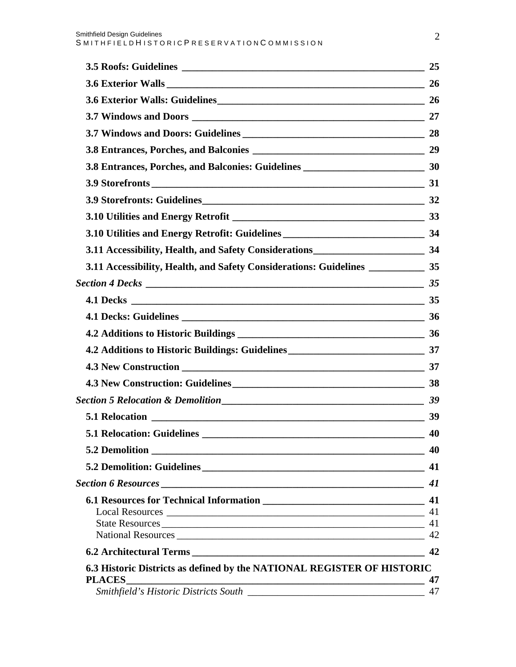| 3.8 Entrances, Porches, and Balconies: Guidelines _______________________________ 30 |          |
|--------------------------------------------------------------------------------------|----------|
|                                                                                      |          |
|                                                                                      |          |
|                                                                                      |          |
| 3.10 Utilities and Energy Retrofit: Guidelines __________________________________ 34 |          |
| 3.11 Accessibility, Health, and Safety Considerations____________________________ 34 |          |
| 3.11 Accessibility, Health, and Safety Considerations: Guidelines _____________ 35   |          |
|                                                                                      |          |
|                                                                                      |          |
|                                                                                      |          |
|                                                                                      |          |
|                                                                                      |          |
|                                                                                      |          |
|                                                                                      |          |
|                                                                                      |          |
|                                                                                      |          |
| <b>5.1 Relocation: Guidelines</b>                                                    | 40       |
|                                                                                      | 40       |
|                                                                                      | 41       |
|                                                                                      | 41       |
|                                                                                      | 41       |
|                                                                                      |          |
| State Resources                                                                      | 41<br>42 |
|                                                                                      | 42       |
| 6.3 Historic Districts as defined by the NATIONAL REGISTER OF HISTORIC               |          |
| <b>PLACES</b>                                                                        | 47       |
|                                                                                      | 47       |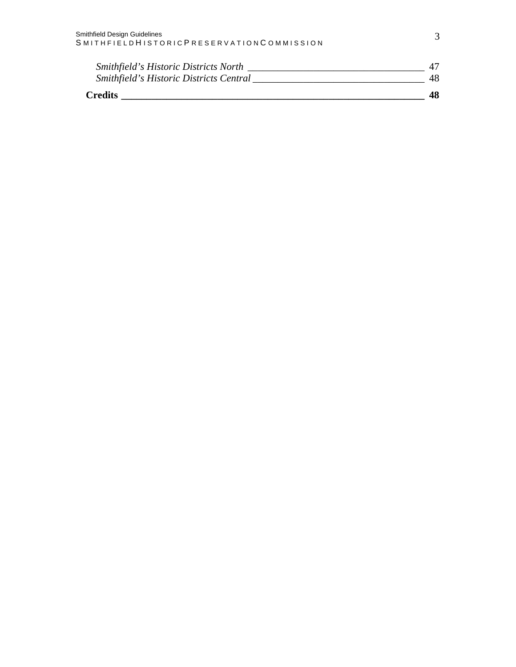| <b>Smithfield's Historic Districts North</b> |    |
|----------------------------------------------|----|
| Smithfield's Historic Districts Central      |    |
| <b>Credits</b>                               | 48 |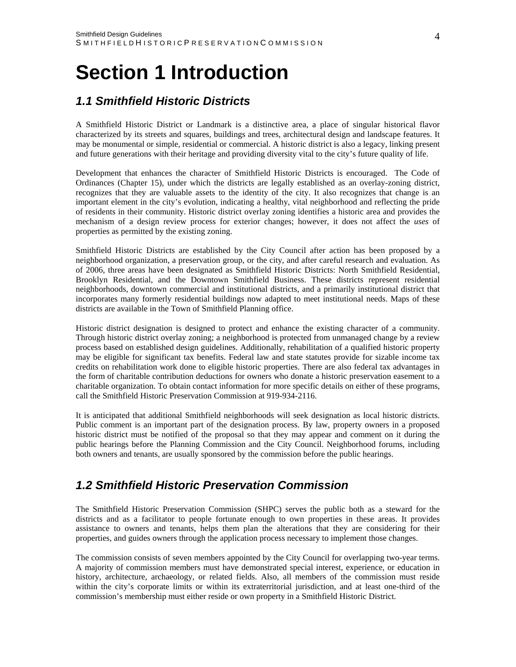## <span id="page-4-0"></span>**Section 1 Introduction**

## *1.1 Smithfield Historic Districts*

A Smithfield Historic District or Landmark is a distinctive area, a place of singular historical flavor characterized by its streets and squares, buildings and trees, architectural design and landscape features. It may be monumental or simple, residential or commercial. A historic district is also a legacy, linking present and future generations with their heritage and providing diversity vital to the city's future quality of life.

Development that enhances the character of Smithfield Historic Districts is encouraged. The Code of Ordinances (Chapter 15), under which the districts are legally established as an overlay-zoning district, recognizes that they are valuable assets to the identity of the city. It also recognizes that change is an important element in the city's evolution, indicating a healthy, vital neighborhood and reflecting the pride of residents in their community. Historic district overlay zoning identifies a historic area and provides the mechanism of a design review process for exterior changes; however, it does not affect the *uses* of properties as permitted by the existing zoning.

Smithfield Historic Districts are established by the City Council after action has been proposed by a neighborhood organization, a preservation group, or the city, and after careful research and evaluation. As of 2006, three areas have been designated as Smithfield Historic Districts: North Smithfield Residential, Brooklyn Residential, and the Downtown Smithfield Business. These districts represent residential neighborhoods, downtown commercial and institutional districts, and a primarily institutional district that incorporates many formerly residential buildings now adapted to meet institutional needs. Maps of these districts are available in the Town of Smithfield Planning office.

Historic district designation is designed to protect and enhance the existing character of a community. Through historic district overlay zoning; a neighborhood is protected from unmanaged change by a review process based on established design guidelines. Additionally, rehabilitation of a qualified historic property may be eligible for significant tax benefits. Federal law and state statutes provide for sizable income tax credits on rehabilitation work done to eligible historic properties. There are also federal tax advantages in the form of charitable contribution deductions for owners who donate a historic preservation easement to a charitable organization. To obtain contact information for more specific details on either of these programs, call the Smithfield Historic Preservation Commission at 919-934-2116.

It is anticipated that additional Smithfield neighborhoods will seek designation as local historic districts. Public comment is an important part of the designation process. By law, property owners in a proposed historic district must be notified of the proposal so that they may appear and comment on it during the public hearings before the Planning Commission and the City Council. Neighborhood forums, including both owners and tenants, are usually sponsored by the commission before the public hearings.

## *1.2 Smithfield Historic Preservation Commission*

The Smithfield Historic Preservation Commission (SHPC) serves the public both as a steward for the districts and as a facilitator to people fortunate enough to own properties in these areas. It provides assistance to owners and tenants, helps them plan the alterations that they are considering for their properties, and guides owners through the application process necessary to implement those changes.

The commission consists of seven members appointed by the City Council for overlapping two-year terms. A majority of commission members must have demonstrated special interest, experience, or education in history, architecture, archaeology, or related fields. Also, all members of the commission must reside within the city's corporate limits or within its extraterritorial jurisdiction, and at least one-third of the commission's membership must either reside or own property in a Smithfield Historic District.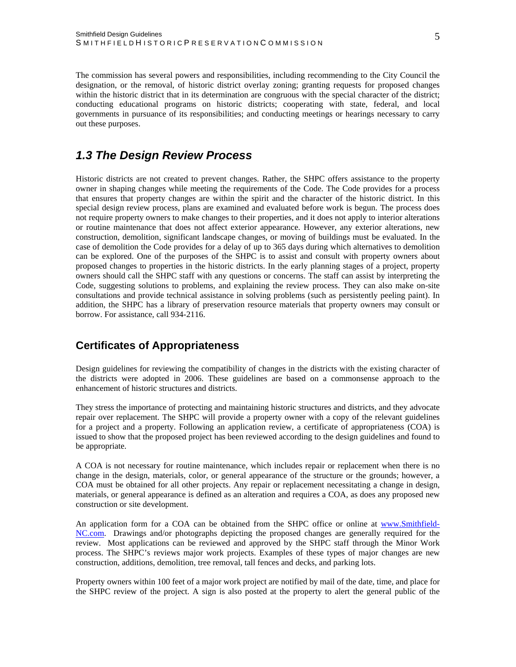<span id="page-5-0"></span>The commission has several powers and responsibilities, including recommending to the City Council the designation, or the removal, of historic district overlay zoning; granting requests for proposed changes within the historic district that in its determination are congruous with the special character of the district; conducting educational programs on historic districts; cooperating with state, federal, and local governments in pursuance of its responsibilities; and conducting meetings or hearings necessary to carry out these purposes.

## *1.3 The Design Review Process*

Historic districts are not created to prevent changes. Rather, the SHPC offers assistance to the property owner in shaping changes while meeting the requirements of the Code. The Code provides for a process that ensures that property changes are within the spirit and the character of the historic district. In this special design review process, plans are examined and evaluated before work is begun. The process does not require property owners to make changes to their properties, and it does not apply to interior alterations or routine maintenance that does not affect exterior appearance. However, any exterior alterations, new construction, demolition, significant landscape changes, or moving of buildings must be evaluated. In the case of demolition the Code provides for a delay of up to 365 days during which alternatives to demolition can be explored. One of the purposes of the SHPC is to assist and consult with property owners about proposed changes to properties in the historic districts. In the early planning stages of a project, property owners should call the SHPC staff with any questions or concerns. The staff can assist by interpreting the Code, suggesting solutions to problems, and explaining the review process. They can also make on-site consultations and provide technical assistance in solving problems (such as persistently peeling paint). In addition, the SHPC has a library of preservation resource materials that property owners may consult or borrow. For assistance, call 934-2116.

#### **Certificates of Appropriateness**

Design guidelines for reviewing the compatibility of changes in the districts with the existing character of the districts were adopted in 2006. These guidelines are based on a commonsense approach to the enhancement of historic structures and districts.

They stress the importance of protecting and maintaining historic structures and districts, and they advocate repair over replacement. The SHPC will provide a property owner with a copy of the relevant guidelines for a project and a property. Following an application review, a certificate of appropriateness (COA) is issued to show that the proposed project has been reviewed according to the design guidelines and found to be appropriate.

A COA is not necessary for routine maintenance, which includes repair or replacement when there is no change in the design, materials, color, or general appearance of the structure or the grounds; however, a COA must be obtained for all other projects. Any repair or replacement necessitating a change in design, materials, or general appearance is defined as an alteration and requires a COA, as does any proposed new construction or site development.

An application form for a COA can be obtained from the SHPC office or online at [www.Smithfield-](http://www.smithfield-nc.com/)[NC.com.](http://www.smithfield-nc.com/) Drawings and/or photographs depicting the proposed changes are generally required for the review. Most applications can be reviewed and approved by the SHPC staff through the Minor Work process. The SHPC's reviews major work projects. Examples of these types of major changes are new construction, additions, demolition, tree removal, tall fences and decks, and parking lots.

Property owners within 100 feet of a major work project are notified by mail of the date, time, and place for the SHPC review of the project. A sign is also posted at the property to alert the general public of the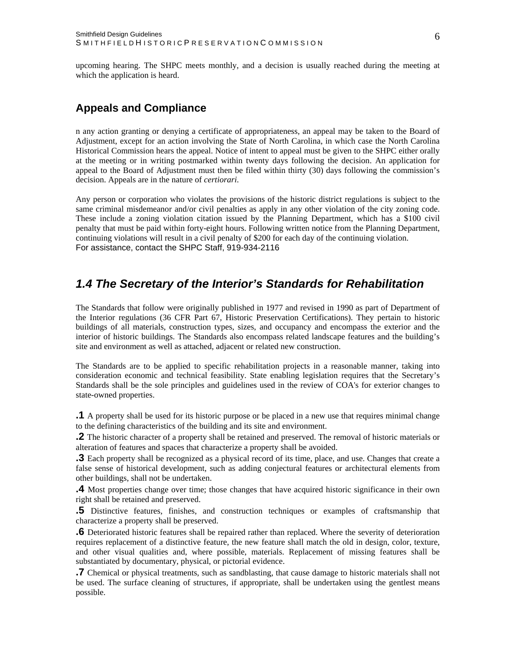<span id="page-6-0"></span>upcoming hearing. The SHPC meets monthly, and a decision is usually reached during the meeting at which the application is heard.

#### **Appeals and Compliance**

n any action granting or denying a certificate of appropriateness, an appeal may be taken to the Board of Adjustment, except for an action involving the State of North Carolina, in which case the North Carolina Historical Commission hears the appeal. Notice of intent to appeal must be given to the SHPC either orally at the meeting or in writing postmarked within twenty days following the decision. An application for appeal to the Board of Adjustment must then be filed within thirty (30) days following the commission's decision. Appeals are in the nature of *certiorari*.

Any person or corporation who violates the provisions of the historic district regulations is subject to the same criminal misdemeanor and/or civil penalties as apply in any other violation of the city zoning code. These include a zoning violation citation issued by the Planning Department, which has a \$100 civil penalty that must be paid within forty-eight hours. Following written notice from the Planning Department, continuing violations will result in a civil penalty of \$200 for each day of the continuing violation. For assistance, contact the SHPC Staff, 919-934-2116

### *1.4 The Secretary of the Interior's Standards for Rehabilitation*

The Standards that follow were originally published in 1977 and revised in 1990 as part of Department of the Interior regulations (36 CFR Part 67, Historic Preservation Certifications). They pertain to historic buildings of all materials, construction types, sizes, and occupancy and encompass the exterior and the interior of historic buildings. The Standards also encompass related landscape features and the building's site and environment as well as attached, adjacent or related new construction.

The Standards are to be applied to specific rehabilitation projects in a reasonable manner, taking into consideration economic and technical feasibility. State enabling legislation requires that the Secretary's Standards shall be the sole principles and guidelines used in the review of COA's for exterior changes to state-owned properties.

**.1** A property shall be used for its historic purpose or be placed in a new use that requires minimal change to the defining characteristics of the building and its site and environment.

**.2** The historic character of a property shall be retained and preserved. The removal of historic materials or alteration of features and spaces that characterize a property shall be avoided.

**.3** Each property shall be recognized as a physical record of its time, place, and use. Changes that create a false sense of historical development, such as adding conjectural features or architectural elements from other buildings, shall not be undertaken.

**.4** Most properties change over time; those changes that have acquired historic significance in their own right shall be retained and preserved.

**.5** Distinctive features, finishes, and construction techniques or examples of craftsmanship that characterize a property shall be preserved.

**.6** Deteriorated historic features shall be repaired rather than replaced. Where the severity of deterioration requires replacement of a distinctive feature, the new feature shall match the old in design, color, texture, and other visual qualities and, where possible, materials. Replacement of missing features shall be substantiated by documentary, physical, or pictorial evidence.

**.7** Chemical or physical treatments, such as sandblasting, that cause damage to historic materials shall not be used. The surface cleaning of structures, if appropriate, shall be undertaken using the gentlest means possible.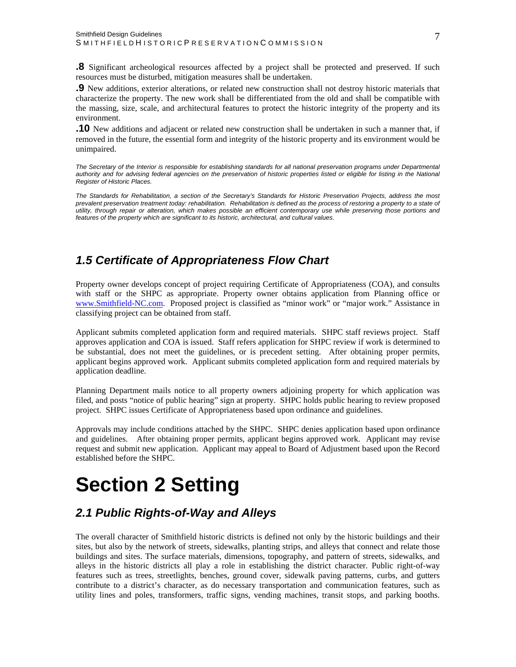<span id="page-7-0"></span>**.8** Significant archeological resources affected by a project shall be protected and preserved. If such resources must be disturbed, mitigation measures shall be undertaken.

**.9** New additions, exterior alterations, or related new construction shall not destroy historic materials that characterize the property. The new work shall be differentiated from the old and shall be compatible with the massing, size, scale, and architectural features to protect the historic integrity of the property and its environment.

**.10** New additions and adjacent or related new construction shall be undertaken in such a manner that, if removed in the future, the essential form and integrity of the historic property and its environment would be unimpaired.

*The Secretary of the Interior is responsible for establishing standards for all national preservation programs under Departmental authority and for advising federal agencies on the preservation of historic properties listed or eligible for listing in the National Register of Historic Places.* 

*The Standards for Rehabilitation, a section of the Secretary's Standards for Historic Preservation Projects, address the most*  prevalent preservation treatment today: rehabilitation. Rehabilitation is defined as the process of restoring a property to a state of *utility, through repair or alteration, which makes possible an efficient contemporary use while preserving those portions and features of the property which are significant to its historic, architectural, and cultural values.* 

## *1.5 Certificate of Appropriateness Flow Chart*

Property owner develops concept of project requiring Certificate of Appropriateness (COA), and consults with staff or the SHPC as appropriate. Property owner obtains application from Planning office or [www.Smithfield-NC.com.](http://www.smithfield-nc.com/) Proposed project is classified as "minor work" or "major work." Assistance in classifying project can be obtained from staff.

Applicant submits completed application form and required materials. SHPC staff reviews project. Staff approves application and COA is issued. Staff refers application for SHPC review if work is determined to be substantial, does not meet the guidelines, or is precedent setting. After obtaining proper permits, applicant begins approved work. Applicant submits completed application form and required materials by application deadline.

Planning Department mails notice to all property owners adjoining property for which application was filed, and posts "notice of public hearing" sign at property. SHPC holds public hearing to review proposed project. SHPC issues Certificate of Appropriateness based upon ordinance and guidelines.

Approvals may include conditions attached by the SHPC. SHPC denies application based upon ordinance and guidelines. After obtaining proper permits, applicant begins approved work. Applicant may revise request and submit new application. Applicant may appeal to Board of Adjustment based upon the Record established before the SHPC.

## **Section 2 Setting**

## *2.1 Public Rights-of-Way and Alleys*

The overall character of Smithfield historic districts is defined not only by the historic buildings and their sites, but also by the network of streets, sidewalks, planting strips, and alleys that connect and relate those buildings and sites. The surface materials, dimensions, topography, and pattern of streets, sidewalks, and alleys in the historic districts all play a role in establishing the district character. Public right-of-way features such as trees, streetlights, benches, ground cover, sidewalk paving patterns, curbs, and gutters contribute to a district's character, as do necessary transportation and communication features, such as utility lines and poles, transformers, traffic signs, vending machines, transit stops, and parking booths.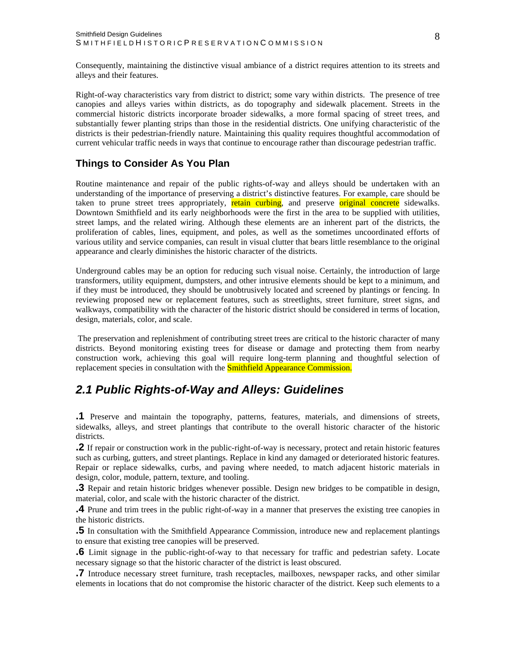<span id="page-8-0"></span>Consequently, maintaining the distinctive visual ambiance of a district requires attention to its streets and alleys and their features.

Right-of-way characteristics vary from district to district; some vary within districts. The presence of tree canopies and alleys varies within districts, as do topography and sidewalk placement. Streets in the commercial historic districts incorporate broader sidewalks, a more formal spacing of street trees, and substantially fewer planting strips than those in the residential districts. One unifying characteristic of the districts is their pedestrian-friendly nature. Maintaining this quality requires thoughtful accommodation of current vehicular traffic needs in ways that continue to encourage rather than discourage pedestrian traffic.

#### **Things to Consider As You Plan**

Routine maintenance and repair of the public rights-of-way and alleys should be undertaken with an understanding of the importance of preserving a district's distinctive features. For example, care should be taken to prune street trees appropriately, retain curbing, and preserve original concrete sidewalks. Downtown Smithfield and its early neighborhoods were the first in the area to be supplied with utilities, street lamps, and the related wiring. Although these elements are an inherent part of the districts, the proliferation of cables, lines, equipment, and poles, as well as the sometimes uncoordinated efforts of various utility and service companies, can result in visual clutter that bears little resemblance to the original appearance and clearly diminishes the historic character of the districts.

Underground cables may be an option for reducing such visual noise. Certainly, the introduction of large transformers, utility equipment, dumpsters, and other intrusive elements should be kept to a minimum, and if they must be introduced, they should be unobtrusively located and screened by plantings or fencing. In reviewing proposed new or replacement features, such as streetlights, street furniture, street signs, and walkways, compatibility with the character of the historic district should be considered in terms of location, design, materials, color, and scale.

 The preservation and replenishment of contributing street trees are critical to the historic character of many districts. Beyond monitoring existing trees for disease or damage and protecting them from nearby construction work, achieving this goal will require long-term planning and thoughtful selection of replacement species in consultation with the **Smithfield Appearance Commission.** 

### *2.1 Public Rights-of-Way and Alleys: Guidelines*

**.1** Preserve and maintain the topography, patterns, features, materials, and dimensions of streets, sidewalks, alleys, and street plantings that contribute to the overall historic character of the historic districts.

**.2** If repair or construction work in the public-right-of-way is necessary, protect and retain historic features such as curbing, gutters, and street plantings. Replace in kind any damaged or deteriorated historic features. Repair or replace sidewalks, curbs, and paving where needed, to match adjacent historic materials in design, color, module, pattern, texture, and tooling.

**.3** Repair and retain historic bridges whenever possible. Design new bridges to be compatible in design, material, color, and scale with the historic character of the district.

**.4** Prune and trim trees in the public right-of-way in a manner that preserves the existing tree canopies in the historic districts.

**.5** In consultation with the Smithfield Appearance Commission, introduce new and replacement plantings to ensure that existing tree canopies will be preserved.

**.6** Limit signage in the public-right-of-way to that necessary for traffic and pedestrian safety. Locate necessary signage so that the historic character of the district is least obscured.

**.7** Introduce necessary street furniture, trash receptacles, mailboxes, newspaper racks, and other similar elements in locations that do not compromise the historic character of the district. Keep such elements to a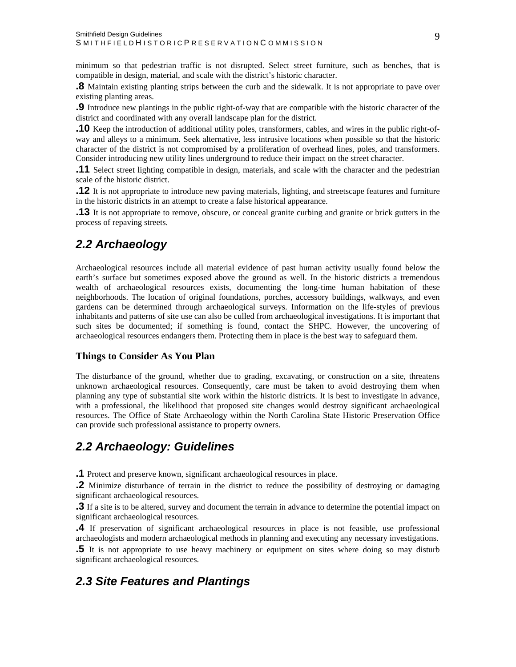<span id="page-9-0"></span>minimum so that pedestrian traffic is not disrupted. Select street furniture, such as benches, that is compatible in design, material, and scale with the district's historic character.

**.8** Maintain existing planting strips between the curb and the sidewalk. It is not appropriate to pave over existing planting areas.

**.9** Introduce new plantings in the public right-of-way that are compatible with the historic character of the district and coordinated with any overall landscape plan for the district.

**.10** Keep the introduction of additional utility poles, transformers, cables, and wires in the public right-ofway and alleys to a minimum. Seek alternative, less intrusive locations when possible so that the historic character of the district is not compromised by a proliferation of overhead lines, poles, and transformers. Consider introducing new utility lines underground to reduce their impact on the street character.

**.11** Select street lighting compatible in design, materials, and scale with the character and the pedestrian scale of the historic district.

**.12** It is not appropriate to introduce new paving materials, lighting, and streetscape features and furniture in the historic districts in an attempt to create a false historical appearance.

**.13** It is not appropriate to remove, obscure, or conceal granite curbing and granite or brick gutters in the process of repaving streets.

## *2.2 Archaeology*

Archaeological resources include all material evidence of past human activity usually found below the earth's surface but sometimes exposed above the ground as well. In the historic districts a tremendous wealth of archaeological resources exists, documenting the long-time human habitation of these neighborhoods. The location of original foundations, porches, accessory buildings, walkways, and even gardens can be determined through archaeological surveys. Information on the life-styles of previous inhabitants and patterns of site use can also be culled from archaeological investigations. It is important that such sites be documented; if something is found, contact the SHPC. However, the uncovering of archaeological resources endangers them. Protecting them in place is the best way to safeguard them.

#### **Things to Consider As You Plan**

The disturbance of the ground, whether due to grading, excavating, or construction on a site, threatens unknown archaeological resources. Consequently, care must be taken to avoid destroying them when planning any type of substantial site work within the historic districts. It is best to investigate in advance, with a professional, the likelihood that proposed site changes would destroy significant archaeological resources. The Office of State Archaeology within the North Carolina State Historic Preservation Office can provide such professional assistance to property owners.

## *2.2 Archaeology: Guidelines*

**.1** Protect and preserve known, significant archaeological resources in place.

**.2** Minimize disturbance of terrain in the district to reduce the possibility of destroying or damaging significant archaeological resources.

**.3** If a site is to be altered, survey and document the terrain in advance to determine the potential impact on significant archaeological resources.

**.4** If preservation of significant archaeological resources in place is not feasible, use professional archaeologists and modern archaeological methods in planning and executing any necessary investigations.

**.5** It is not appropriate to use heavy machinery or equipment on sites where doing so may disturb significant archaeological resources.

### *2.3 Site Features and Plantings*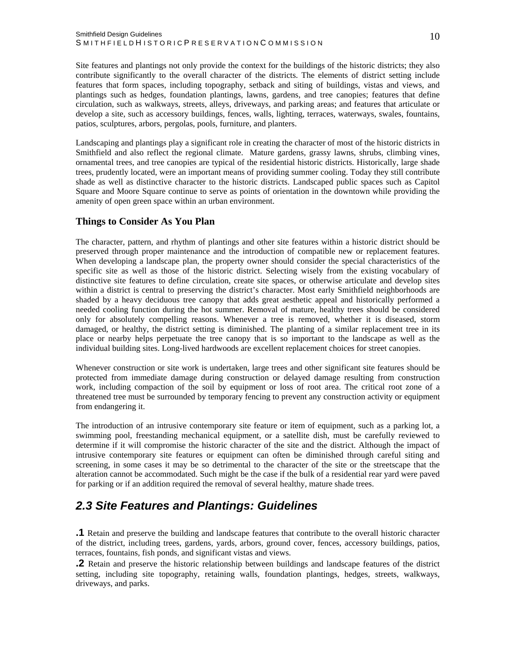<span id="page-10-0"></span>Site features and plantings not only provide the context for the buildings of the historic districts; they also contribute significantly to the overall character of the districts. The elements of district setting include features that form spaces, including topography, setback and siting of buildings, vistas and views, and plantings such as hedges, foundation plantings, lawns, gardens, and tree canopies; features that define circulation, such as walkways, streets, alleys, driveways, and parking areas; and features that articulate or develop a site, such as accessory buildings, fences, walls, lighting, terraces, waterways, swales, fountains, patios, sculptures, arbors, pergolas, pools, furniture, and planters.

Landscaping and plantings play a significant role in creating the character of most of the historic districts in Smithfield and also reflect the regional climate. Mature gardens, grassy lawns, shrubs, climbing vines, ornamental trees, and tree canopies are typical of the residential historic districts. Historically, large shade trees, prudently located, were an important means of providing summer cooling. Today they still contribute shade as well as distinctive character to the historic districts. Landscaped public spaces such as Capitol Square and Moore Square continue to serve as points of orientation in the downtown while providing the amenity of open green space within an urban environment.

#### **Things to Consider As You Plan**

The character, pattern, and rhythm of plantings and other site features within a historic district should be preserved through proper maintenance and the introduction of compatible new or replacement features. When developing a landscape plan, the property owner should consider the special characteristics of the specific site as well as those of the historic district. Selecting wisely from the existing vocabulary of distinctive site features to define circulation, create site spaces, or otherwise articulate and develop sites within a district is central to preserving the district's character. Most early Smithfield neighborhoods are shaded by a heavy deciduous tree canopy that adds great aesthetic appeal and historically performed a needed cooling function during the hot summer. Removal of mature, healthy trees should be considered only for absolutely compelling reasons. Whenever a tree is removed, whether it is diseased, storm damaged, or healthy, the district setting is diminished. The planting of a similar replacement tree in its place or nearby helps perpetuate the tree canopy that is so important to the landscape as well as the individual building sites. Long-lived hardwoods are excellent replacement choices for street canopies.

Whenever construction or site work is undertaken, large trees and other significant site features should be protected from immediate damage during construction or delayed damage resulting from construction work, including compaction of the soil by equipment or loss of root area. The critical root zone of a threatened tree must be surrounded by temporary fencing to prevent any construction activity or equipment from endangering it.

The introduction of an intrusive contemporary site feature or item of equipment, such as a parking lot, a swimming pool, freestanding mechanical equipment, or a satellite dish, must be carefully reviewed to determine if it will compromise the historic character of the site and the district. Although the impact of intrusive contemporary site features or equipment can often be diminished through careful siting and screening, in some cases it may be so detrimental to the character of the site or the streetscape that the alteration cannot be accommodated. Such might be the case if the bulk of a residential rear yard were paved for parking or if an addition required the removal of several healthy, mature shade trees.

## *2.3 Site Features and Plantings: Guidelines*

**.1** Retain and preserve the building and landscape features that contribute to the overall historic character of the district, including trees, gardens, yards, arbors, ground cover, fences, accessory buildings, patios, terraces, fountains, fish ponds, and significant vistas and views.

**.2** Retain and preserve the historic relationship between buildings and landscape features of the district setting, including site topography, retaining walls, foundation plantings, hedges, streets, walkways, driveways, and parks.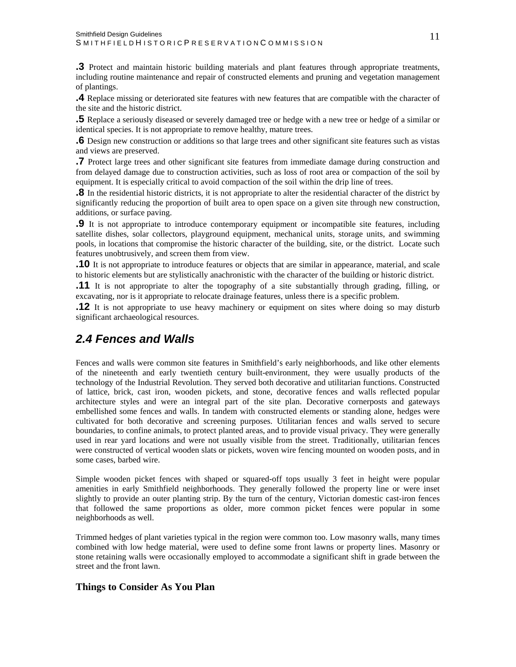<span id="page-11-0"></span>**.3** Protect and maintain historic building materials and plant features through appropriate treatments, including routine maintenance and repair of constructed elements and pruning and vegetation management of plantings.

**.4** Replace missing or deteriorated site features with new features that are compatible with the character of the site and the historic district.

**.5** Replace a seriously diseased or severely damaged tree or hedge with a new tree or hedge of a similar or identical species. It is not appropriate to remove healthy, mature trees.

**.6** Design new construction or additions so that large trees and other significant site features such as vistas and views are preserved.

**.7** Protect large trees and other significant site features from immediate damage during construction and from delayed damage due to construction activities, such as loss of root area or compaction of the soil by equipment. It is especially critical to avoid compaction of the soil within the drip line of trees.

**.8** In the residential historic districts, it is not appropriate to alter the residential character of the district by significantly reducing the proportion of built area to open space on a given site through new construction, additions, or surface paving.

**.9** It is not appropriate to introduce contemporary equipment or incompatible site features, including satellite dishes, solar collectors, playground equipment, mechanical units, storage units, and swimming pools, in locations that compromise the historic character of the building, site, or the district. Locate such features unobtrusively, and screen them from view.

**.10** It is not appropriate to introduce features or objects that are similar in appearance, material, and scale to historic elements but are stylistically anachronistic with the character of the building or historic district.

**.11** It is not appropriate to alter the topography of a site substantially through grading, filling, or excavating, nor is it appropriate to relocate drainage features, unless there is a specific problem.

**.12** It is not appropriate to use heavy machinery or equipment on sites where doing so may disturb significant archaeological resources.

## *2.4 Fences and Walls*

Fences and walls were common site features in Smithfield's early neighborhoods, and like other elements of the nineteenth and early twentieth century built-environment, they were usually products of the technology of the Industrial Revolution. They served both decorative and utilitarian functions. Constructed of lattice, brick, cast iron, wooden pickets, and stone, decorative fences and walls reflected popular architecture styles and were an integral part of the site plan. Decorative cornerposts and gateways embellished some fences and walls. In tandem with constructed elements or standing alone, hedges were cultivated for both decorative and screening purposes. Utilitarian fences and walls served to secure boundaries, to confine animals, to protect planted areas, and to provide visual privacy. They were generally used in rear yard locations and were not usually visible from the street. Traditionally, utilitarian fences were constructed of vertical wooden slats or pickets, woven wire fencing mounted on wooden posts, and in some cases, barbed wire.

Simple wooden picket fences with shaped or squared-off tops usually 3 feet in height were popular amenities in early Smithfield neighborhoods. They generally followed the property line or were inset slightly to provide an outer planting strip. By the turn of the century, Victorian domestic cast-iron fences that followed the same proportions as older, more common picket fences were popular in some neighborhoods as well.

Trimmed hedges of plant varieties typical in the region were common too. Low masonry walls, many times combined with low hedge material, were used to define some front lawns or property lines. Masonry or stone retaining walls were occasionally employed to accommodate a significant shift in grade between the street and the front lawn.

#### **Things to Consider As You Plan**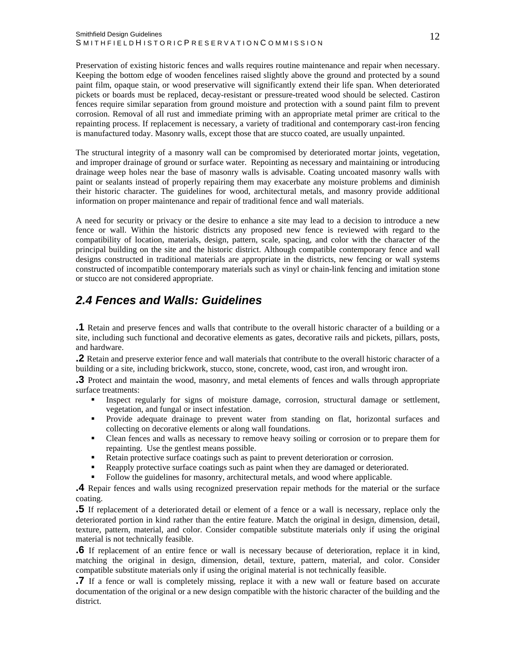#### <span id="page-12-0"></span>Smithfield Design Guidelines SMITHFIELDHISTORICPRESERVATIONCOMMISSION

Preservation of existing historic fences and walls requires routine maintenance and repair when necessary. Keeping the bottom edge of wooden fencelines raised slightly above the ground and protected by a sound paint film, opaque stain, or wood preservative will significantly extend their life span. When deteriorated pickets or boards must be replaced, decay-resistant or pressure-treated wood should be selected. Castiron fences require similar separation from ground moisture and protection with a sound paint film to prevent corrosion. Removal of all rust and immediate priming with an appropriate metal primer are critical to the repainting process. If replacement is necessary, a variety of traditional and contemporary cast-iron fencing is manufactured today. Masonry walls, except those that are stucco coated, are usually unpainted.

The structural integrity of a masonry wall can be compromised by deteriorated mortar joints, vegetation, and improper drainage of ground or surface water. Repointing as necessary and maintaining or introducing drainage weep holes near the base of masonry walls is advisable. Coating uncoated masonry walls with paint or sealants instead of properly repairing them may exacerbate any moisture problems and diminish their historic character. The guidelines for wood, architectural metals, and masonry provide additional information on proper maintenance and repair of traditional fence and wall materials.

A need for security or privacy or the desire to enhance a site may lead to a decision to introduce a new fence or wall. Within the historic districts any proposed new fence is reviewed with regard to the compatibility of location, materials, design, pattern, scale, spacing, and color with the character of the principal building on the site and the historic district. Although compatible contemporary fence and wall designs constructed in traditional materials are appropriate in the districts, new fencing or wall systems constructed of incompatible contemporary materials such as vinyl or chain-link fencing and imitation stone or stucco are not considered appropriate.

## *2.4 Fences and Walls: Guidelines*

**.1** Retain and preserve fences and walls that contribute to the overall historic character of a building or a site, including such functional and decorative elements as gates, decorative rails and pickets, pillars, posts, and hardware.

**.2** Retain and preserve exterior fence and wall materials that contribute to the overall historic character of a building or a site, including brickwork, stucco, stone, concrete, wood, cast iron, and wrought iron.

**.3** Protect and maintain the wood, masonry, and metal elements of fences and walls through appropriate surface treatments:

- Inspect regularly for signs of moisture damage, corrosion, structural damage or settlement, vegetation, and fungal or insect infestation.
- Provide adequate drainage to prevent water from standing on flat, horizontal surfaces and collecting on decorative elements or along wall foundations.
- Clean fences and walls as necessary to remove heavy soiling or corrosion or to prepare them for repainting. Use the gentlest means possible.
- Retain protective surface coatings such as paint to prevent deterioration or corrosion.
- Reapply protective surface coatings such as paint when they are damaged or deteriorated.
- Follow the guidelines for masonry, architectural metals, and wood where applicable.

**.4** Repair fences and walls using recognized preservation repair methods for the material or the surface coating.

**.5** If replacement of a deteriorated detail or element of a fence or a wall is necessary, replace only the deteriorated portion in kind rather than the entire feature. Match the original in design, dimension, detail, texture, pattern, material, and color. Consider compatible substitute materials only if using the original material is not technically feasible.

**.6** If replacement of an entire fence or wall is necessary because of deterioration, replace it in kind, matching the original in design, dimension, detail, texture, pattern, material, and color. Consider compatible substitute materials only if using the original material is not technically feasible.

**.7** If a fence or wall is completely missing, replace it with a new wall or feature based on accurate documentation of the original or a new design compatible with the historic character of the building and the district.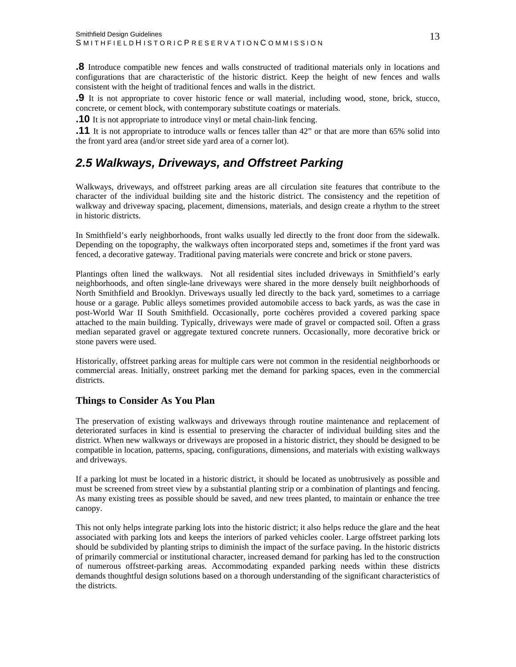<span id="page-13-0"></span>**.8** Introduce compatible new fences and walls constructed of traditional materials only in locations and configurations that are characteristic of the historic district. Keep the height of new fences and walls consistent with the height of traditional fences and walls in the district.

**.9** It is not appropriate to cover historic fence or wall material, including wood, stone, brick, stucco, concrete, or cement block, with contemporary substitute coatings or materials.

**.10** It is not appropriate to introduce vinyl or metal chain-link fencing.

**.11** It is not appropriate to introduce walls or fences taller than 42" or that are more than 65% solid into the front yard area (and/or street side yard area of a corner lot).

## *2.5 Walkways, Driveways, and Offstreet Parking*

Walkways, driveways, and offstreet parking areas are all circulation site features that contribute to the character of the individual building site and the historic district. The consistency and the repetition of walkway and driveway spacing, placement, dimensions, materials, and design create a rhythm to the street in historic districts.

In Smithfield's early neighborhoods, front walks usually led directly to the front door from the sidewalk. Depending on the topography, the walkways often incorporated steps and, sometimes if the front yard was fenced, a decorative gateway. Traditional paving materials were concrete and brick or stone pavers.

Plantings often lined the walkways. Not all residential sites included driveways in Smithfield's early neighborhoods, and often single-lane driveways were shared in the more densely built neighborhoods of North Smithfield and Brooklyn. Driveways usually led directly to the back yard, sometimes to a carriage house or a garage. Public alleys sometimes provided automobile access to back yards, as was the case in post-World War II South Smithfield. Occasionally, porte cochères provided a covered parking space attached to the main building. Typically, driveways were made of gravel or compacted soil. Often a grass median separated gravel or aggregate textured concrete runners. Occasionally, more decorative brick or stone pavers were used.

Historically, offstreet parking areas for multiple cars were not common in the residential neighborhoods or commercial areas. Initially, onstreet parking met the demand for parking spaces, even in the commercial districts.

#### **Things to Consider As You Plan**

The preservation of existing walkways and driveways through routine maintenance and replacement of deteriorated surfaces in kind is essential to preserving the character of individual building sites and the district. When new walkways or driveways are proposed in a historic district, they should be designed to be compatible in location, patterns, spacing, configurations, dimensions, and materials with existing walkways and driveways.

If a parking lot must be located in a historic district, it should be located as unobtrusively as possible and must be screened from street view by a substantial planting strip or a combination of plantings and fencing. As many existing trees as possible should be saved, and new trees planted, to maintain or enhance the tree canopy.

This not only helps integrate parking lots into the historic district; it also helps reduce the glare and the heat associated with parking lots and keeps the interiors of parked vehicles cooler. Large offstreet parking lots should be subdivided by planting strips to diminish the impact of the surface paving. In the historic districts of primarily commercial or institutional character, increased demand for parking has led to the construction of numerous offstreet-parking areas. Accommodating expanded parking needs within these districts demands thoughtful design solutions based on a thorough understanding of the significant characteristics of the districts.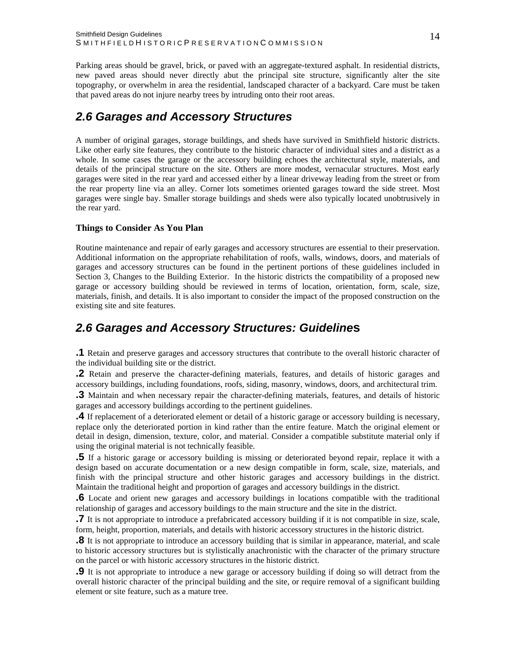<span id="page-14-0"></span>Parking areas should be gravel, brick, or paved with an aggregate-textured asphalt. In residential districts, new paved areas should never directly abut the principal site structure, significantly alter the site topography, or overwhelm in area the residential, landscaped character of a backyard. Care must be taken that paved areas do not injure nearby trees by intruding onto their root areas.

## *2.6 Garages and Accessory Structures*

A number of original garages, storage buildings, and sheds have survived in Smithfield historic districts. Like other early site features, they contribute to the historic character of individual sites and a district as a whole. In some cases the garage or the accessory building echoes the architectural style, materials, and details of the principal structure on the site. Others are more modest, vernacular structures. Most early garages were sited in the rear yard and accessed either by a linear driveway leading from the street or from the rear property line via an alley. Corner lots sometimes oriented garages toward the side street. Most garages were single bay. Smaller storage buildings and sheds were also typically located unobtrusively in the rear yard.

#### **Things to Consider As You Plan**

Routine maintenance and repair of early garages and accessory structures are essential to their preservation. Additional information on the appropriate rehabilitation of roofs, walls, windows, doors, and materials of garages and accessory structures can be found in the pertinent portions of these guidelines included in Section 3, Changes to the Building Exterior. In the historic districts the compatibility of a proposed new garage or accessory building should be reviewed in terms of location, orientation, form, scale, size, materials, finish, and details. It is also important to consider the impact of the proposed construction on the existing site and site features.

### *2.6 Garages and Accessory Structures: Guideline***s**

**.1** Retain and preserve garages and accessory structures that contribute to the overall historic character of the individual building site or the district.

**.2** Retain and preserve the character-defining materials, features, and details of historic garages and accessory buildings, including foundations, roofs, siding, masonry, windows, doors, and architectural trim.

**.3** Maintain and when necessary repair the character-defining materials, features, and details of historic garages and accessory buildings according to the pertinent guidelines.

**.4** If replacement of a deteriorated element or detail of a historic garage or accessory building is necessary, replace only the deteriorated portion in kind rather than the entire feature. Match the original element or detail in design, dimension, texture, color, and material. Consider a compatible substitute material only if using the original material is not technically feasible.

**.5** If a historic garage or accessory building is missing or deteriorated beyond repair, replace it with a design based on accurate documentation or a new design compatible in form, scale, size, materials, and finish with the principal structure and other historic garages and accessory buildings in the district. Maintain the traditional height and proportion of garages and accessory buildings in the district.

**.6** Locate and orient new garages and accessory buildings in locations compatible with the traditional relationship of garages and accessory buildings to the main structure and the site in the district.

**.7** It is not appropriate to introduce a prefabricated accessory building if it is not compatible in size, scale, form, height, proportion, materials, and details with historic accessory structures in the historic district.

**.8** It is not appropriate to introduce an accessory building that is similar in appearance, material, and scale to historic accessory structures but is stylistically anachronistic with the character of the primary structure on the parcel or with historic accessory structures in the historic district.

**.9** It is not appropriate to introduce a new garage or accessory building if doing so will detract from the overall historic character of the principal building and the site, or require removal of a significant building element or site feature, such as a mature tree.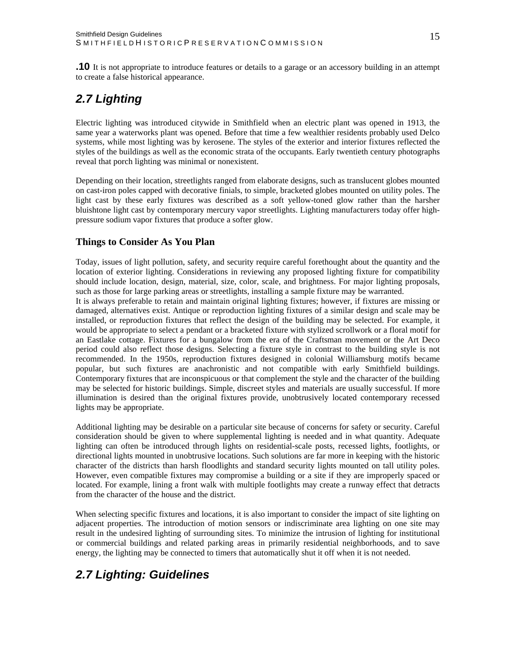## <span id="page-15-0"></span>*2.7 Lighting*

Electric lighting was introduced citywide in Smithfield when an electric plant was opened in 1913, the same year a waterworks plant was opened. Before that time a few wealthier residents probably used Delco systems, while most lighting was by kerosene. The styles of the exterior and interior fixtures reflected the styles of the buildings as well as the economic strata of the occupants. Early twentieth century photographs reveal that porch lighting was minimal or nonexistent.

Depending on their location, streetlights ranged from elaborate designs, such as translucent globes mounted on cast-iron poles capped with decorative finials, to simple, bracketed globes mounted on utility poles. The light cast by these early fixtures was described as a soft yellow-toned glow rather than the harsher bluishtone light cast by contemporary mercury vapor streetlights. Lighting manufacturers today offer highpressure sodium vapor fixtures that produce a softer glow.

#### **Things to Consider As You Plan**

Today, issues of light pollution, safety, and security require careful forethought about the quantity and the location of exterior lighting. Considerations in reviewing any proposed lighting fixture for compatibility should include location, design, material, size, color, scale, and brightness. For major lighting proposals, such as those for large parking areas or streetlights, installing a sample fixture may be warranted.

It is always preferable to retain and maintain original lighting fixtures; however, if fixtures are missing or damaged, alternatives exist. Antique or reproduction lighting fixtures of a similar design and scale may be installed, or reproduction fixtures that reflect the design of the building may be selected. For example, it would be appropriate to select a pendant or a bracketed fixture with stylized scrollwork or a floral motif for an Eastlake cottage. Fixtures for a bungalow from the era of the Craftsman movement or the Art Deco period could also reflect those designs. Selecting a fixture style in contrast to the building style is not recommended. In the 1950s, reproduction fixtures designed in colonial Williamsburg motifs became popular, but such fixtures are anachronistic and not compatible with early Smithfield buildings. Contemporary fixtures that are inconspicuous or that complement the style and the character of the building may be selected for historic buildings. Simple, discreet styles and materials are usually successful. If more illumination is desired than the original fixtures provide, unobtrusively located contemporary recessed lights may be appropriate.

Additional lighting may be desirable on a particular site because of concerns for safety or security. Careful consideration should be given to where supplemental lighting is needed and in what quantity. Adequate lighting can often be introduced through lights on residential-scale posts, recessed lights, footlights, or directional lights mounted in unobtrusive locations. Such solutions are far more in keeping with the historic character of the districts than harsh floodlights and standard security lights mounted on tall utility poles. However, even compatible fixtures may compromise a building or a site if they are improperly spaced or located. For example, lining a front walk with multiple footlights may create a runway effect that detracts from the character of the house and the district.

When selecting specific fixtures and locations, it is also important to consider the impact of site lighting on adjacent properties. The introduction of motion sensors or indiscriminate area lighting on one site may result in the undesired lighting of surrounding sites. To minimize the intrusion of lighting for institutional or commercial buildings and related parking areas in primarily residential neighborhoods, and to save energy, the lighting may be connected to timers that automatically shut it off when it is not needed.

## *2.7 Lighting: Guidelines*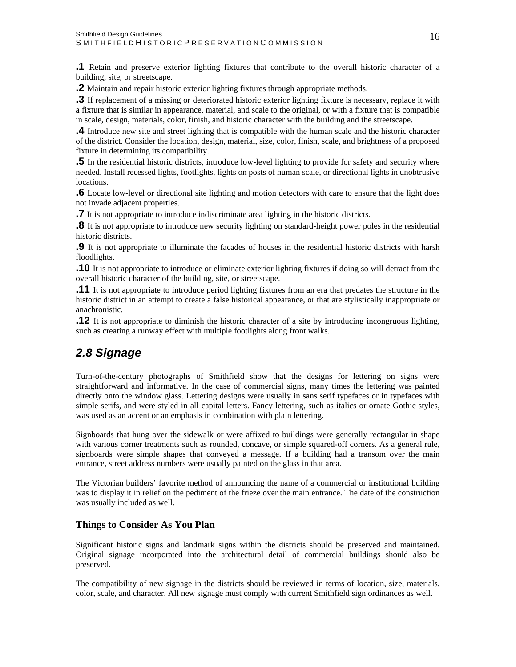<span id="page-16-0"></span>**.1** Retain and preserve exterior lighting fixtures that contribute to the overall historic character of a building, site, or streetscape.

**.2** Maintain and repair historic exterior lighting fixtures through appropriate methods.

**.3** If replacement of a missing or deteriorated historic exterior lighting fixture is necessary, replace it with a fixture that is similar in appearance, material, and scale to the original, or with a fixture that is compatible in scale, design, materials, color, finish, and historic character with the building and the streetscape.

**.4** Introduce new site and street lighting that is compatible with the human scale and the historic character of the district. Consider the location, design, material, size, color, finish, scale, and brightness of a proposed fixture in determining its compatibility.

**.5** In the residential historic districts, introduce low-level lighting to provide for safety and security where needed. Install recessed lights, footlights, lights on posts of human scale, or directional lights in unobtrusive locations.

**.6** Locate low-level or directional site lighting and motion detectors with care to ensure that the light does not invade adjacent properties.

**.7** It is not appropriate to introduce indiscriminate area lighting in the historic districts.

**.8** It is not appropriate to introduce new security lighting on standard-height power poles in the residential historic districts.

**.9** It is not appropriate to illuminate the facades of houses in the residential historic districts with harsh floodlights.

**.10** It is not appropriate to introduce or eliminate exterior lighting fixtures if doing so will detract from the overall historic character of the building, site, or streetscape.

**.11** It is not appropriate to introduce period lighting fixtures from an era that predates the structure in the historic district in an attempt to create a false historical appearance, or that are stylistically inappropriate or anachronistic.

**.12** It is not appropriate to diminish the historic character of a site by introducing incongruous lighting, such as creating a runway effect with multiple footlights along front walks.

## *2.8 Signage*

Turn-of-the-century photographs of Smithfield show that the designs for lettering on signs were straightforward and informative. In the case of commercial signs, many times the lettering was painted directly onto the window glass. Lettering designs were usually in sans serif typefaces or in typefaces with simple serifs, and were styled in all capital letters. Fancy lettering, such as italics or ornate Gothic styles, was used as an accent or an emphasis in combination with plain lettering.

Signboards that hung over the sidewalk or were affixed to buildings were generally rectangular in shape with various corner treatments such as rounded, concave, or simple squared-off corners. As a general rule, signboards were simple shapes that conveyed a message. If a building had a transom over the main entrance, street address numbers were usually painted on the glass in that area.

The Victorian builders' favorite method of announcing the name of a commercial or institutional building was to display it in relief on the pediment of the frieze over the main entrance. The date of the construction was usually included as well.

#### **Things to Consider As You Plan**

Significant historic signs and landmark signs within the districts should be preserved and maintained. Original signage incorporated into the architectural detail of commercial buildings should also be preserved.

The compatibility of new signage in the districts should be reviewed in terms of location, size, materials, color, scale, and character. All new signage must comply with current Smithfield sign ordinances as well.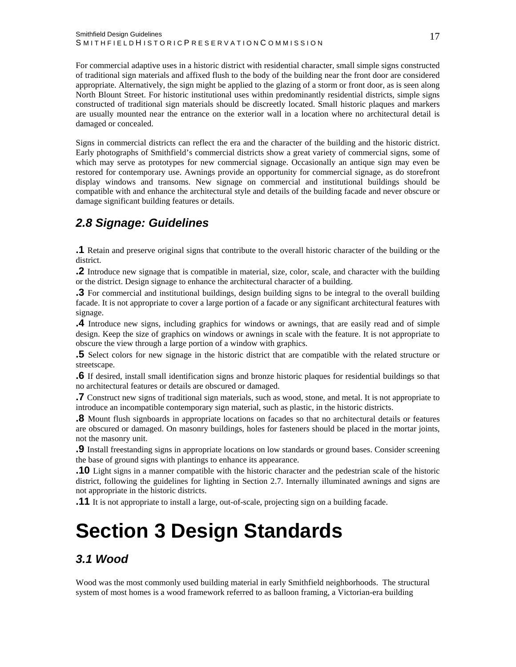<span id="page-17-0"></span>For commercial adaptive uses in a historic district with residential character, small simple signs constructed of traditional sign materials and affixed flush to the body of the building near the front door are considered appropriate. Alternatively, the sign might be applied to the glazing of a storm or front door, as is seen along North Blount Street. For historic institutional uses within predominantly residential districts, simple signs constructed of traditional sign materials should be discreetly located. Small historic plaques and markers are usually mounted near the entrance on the exterior wall in a location where no architectural detail is damaged or concealed.

Signs in commercial districts can reflect the era and the character of the building and the historic district. Early photographs of Smithfield's commercial districts show a great variety of commercial signs, some of which may serve as prototypes for new commercial signage. Occasionally an antique sign may even be restored for contemporary use. Awnings provide an opportunity for commercial signage, as do storefront display windows and transoms. New signage on commercial and institutional buildings should be compatible with and enhance the architectural style and details of the building facade and never obscure or damage significant building features or details.

## *2.8 Signage: Guidelines*

**.1** Retain and preserve original signs that contribute to the overall historic character of the building or the district.

**.2** Introduce new signage that is compatible in material, size, color, scale, and character with the building or the district. Design signage to enhance the architectural character of a building.

**.3** For commercial and institutional buildings, design building signs to be integral to the overall building facade. It is not appropriate to cover a large portion of a facade or any significant architectural features with signage.

**.4** Introduce new signs, including graphics for windows or awnings, that are easily read and of simple design. Keep the size of graphics on windows or awnings in scale with the feature. It is not appropriate to obscure the view through a large portion of a window with graphics.

**.5** Select colors for new signage in the historic district that are compatible with the related structure or streetscape.

**.6** If desired, install small identification signs and bronze historic plaques for residential buildings so that no architectural features or details are obscured or damaged.

**.7** Construct new signs of traditional sign materials, such as wood, stone, and metal. It is not appropriate to introduce an incompatible contemporary sign material, such as plastic, in the historic districts.

**.8** Mount flush signboards in appropriate locations on facades so that no architectural details or features are obscured or damaged. On masonry buildings, holes for fasteners should be placed in the mortar joints, not the masonry unit.

**.9** Install freestanding signs in appropriate locations on low standards or ground bases. Consider screening the base of ground signs with plantings to enhance its appearance.

**.10** Light signs in a manner compatible with the historic character and the pedestrian scale of the historic district, following the guidelines for lighting in Section 2.7. Internally illuminated awnings and signs are not appropriate in the historic districts.

**.11** It is not appropriate to install a large, out-of-scale, projecting sign on a building facade.

## **Section 3 Design Standards**

## *3.1 Wood*

Wood was the most commonly used building material in early Smithfield neighborhoods. The structural system of most homes is a wood framework referred to as balloon framing, a Victorian-era building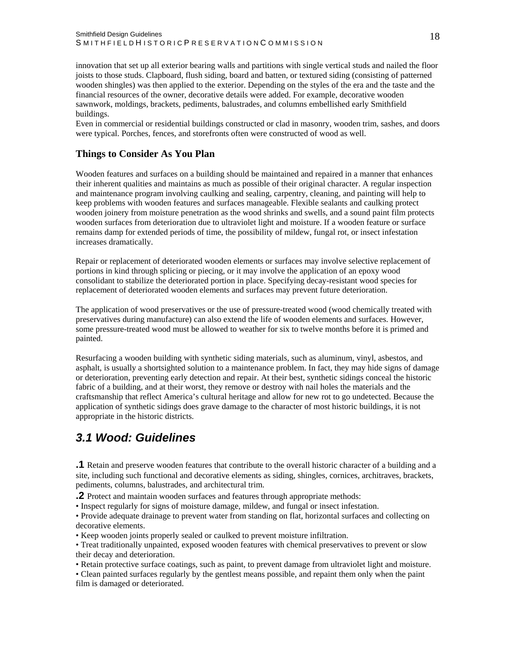<span id="page-18-0"></span>innovation that set up all exterior bearing walls and partitions with single vertical studs and nailed the floor joists to those studs. Clapboard, flush siding, board and batten, or textured siding (consisting of patterned wooden shingles) was then applied to the exterior. Depending on the styles of the era and the taste and the financial resources of the owner, decorative details were added. For example, decorative wooden sawnwork, moldings, brackets, pediments, balustrades, and columns embellished early Smithfield buildings.

Even in commercial or residential buildings constructed or clad in masonry, wooden trim, sashes, and doors were typical. Porches, fences, and storefronts often were constructed of wood as well.

#### **Things to Consider As You Plan**

Wooden features and surfaces on a building should be maintained and repaired in a manner that enhances their inherent qualities and maintains as much as possible of their original character. A regular inspection and maintenance program involving caulking and sealing, carpentry, cleaning, and painting will help to keep problems with wooden features and surfaces manageable. Flexible sealants and caulking protect wooden joinery from moisture penetration as the wood shrinks and swells, and a sound paint film protects wooden surfaces from deterioration due to ultraviolet light and moisture. If a wooden feature or surface remains damp for extended periods of time, the possibility of mildew, fungal rot, or insect infestation increases dramatically.

Repair or replacement of deteriorated wooden elements or surfaces may involve selective replacement of portions in kind through splicing or piecing, or it may involve the application of an epoxy wood consolidant to stabilize the deteriorated portion in place. Specifying decay-resistant wood species for replacement of deteriorated wooden elements and surfaces may prevent future deterioration.

The application of wood preservatives or the use of pressure-treated wood (wood chemically treated with preservatives during manufacture) can also extend the life of wooden elements and surfaces. However, some pressure-treated wood must be allowed to weather for six to twelve months before it is primed and painted.

Resurfacing a wooden building with synthetic siding materials, such as aluminum, vinyl, asbestos, and asphalt, is usually a shortsighted solution to a maintenance problem. In fact, they may hide signs of damage or deterioration, preventing early detection and repair. At their best, synthetic sidings conceal the historic fabric of a building, and at their worst, they remove or destroy with nail holes the materials and the craftsmanship that reflect America's cultural heritage and allow for new rot to go undetected. Because the application of synthetic sidings does grave damage to the character of most historic buildings, it is not appropriate in the historic districts.

## *3.1 Wood: Guidelines*

**.1** Retain and preserve wooden features that contribute to the overall historic character of a building and a site, including such functional and decorative elements as siding, shingles, cornices, architraves, brackets, pediments, columns, balustrades, and architectural trim.

**.2** Protect and maintain wooden surfaces and features through appropriate methods:

• Inspect regularly for signs of moisture damage, mildew, and fungal or insect infestation.

• Provide adequate drainage to prevent water from standing on flat, horizontal surfaces and collecting on decorative elements.

• Keep wooden joints properly sealed or caulked to prevent moisture infiltration.

• Treat traditionally unpainted, exposed wooden features with chemical preservatives to prevent or slow their decay and deterioration.

• Retain protective surface coatings, such as paint, to prevent damage from ultraviolet light and moisture.

• Clean painted surfaces regularly by the gentlest means possible, and repaint them only when the paint film is damaged or deteriorated.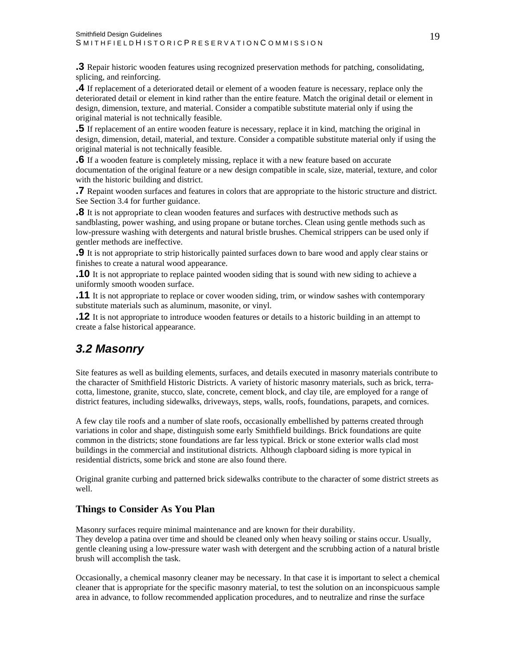<span id="page-19-0"></span>**.3** Repair historic wooden features using recognized preservation methods for patching, consolidating, splicing, and reinforcing.

**.4** If replacement of a deteriorated detail or element of a wooden feature is necessary, replace only the deteriorated detail or element in kind rather than the entire feature. Match the original detail or element in design, dimension, texture, and material. Consider a compatible substitute material only if using the original material is not technically feasible.

**.5** If replacement of an entire wooden feature is necessary, replace it in kind, matching the original in design, dimension, detail, material, and texture. Consider a compatible substitute material only if using the original material is not technically feasible.

**.6** If a wooden feature is completely missing, replace it with a new feature based on accurate documentation of the original feature or a new design compatible in scale, size, material, texture, and color with the historic building and district.

**.7** Repaint wooden surfaces and features in colors that are appropriate to the historic structure and district. See Section 3.4 for further guidance.

**.8** It is not appropriate to clean wooden features and surfaces with destructive methods such as sandblasting, power washing, and using propane or butane torches. Clean using gentle methods such as low-pressure washing with detergents and natural bristle brushes. Chemical strippers can be used only if gentler methods are ineffective.

**.9** It is not appropriate to strip historically painted surfaces down to bare wood and apply clear stains or finishes to create a natural wood appearance.

**.10** It is not appropriate to replace painted wooden siding that is sound with new siding to achieve a uniformly smooth wooden surface.

**.11** It is not appropriate to replace or cover wooden siding, trim, or window sashes with contemporary substitute materials such as aluminum, masonite, or vinyl.

**.12** It is not appropriate to introduce wooden features or details to a historic building in an attempt to create a false historical appearance.

## *3.2 Masonry*

Site features as well as building elements, surfaces, and details executed in masonry materials contribute to the character of Smithfield Historic Districts. A variety of historic masonry materials, such as brick, terracotta, limestone, granite, stucco, slate, concrete, cement block, and clay tile, are employed for a range of district features, including sidewalks, driveways, steps, walls, roofs, foundations, parapets, and cornices.

A few clay tile roofs and a number of slate roofs, occasionally embellished by patterns created through variations in color and shape, distinguish some early Smithfield buildings. Brick foundations are quite common in the districts; stone foundations are far less typical. Brick or stone exterior walls clad most buildings in the commercial and institutional districts. Although clapboard siding is more typical in residential districts, some brick and stone are also found there.

Original granite curbing and patterned brick sidewalks contribute to the character of some district streets as well.

#### **Things to Consider As You Plan**

Masonry surfaces require minimal maintenance and are known for their durability. They develop a patina over time and should be cleaned only when heavy soiling or stains occur. Usually, gentle cleaning using a low-pressure water wash with detergent and the scrubbing action of a natural bristle brush will accomplish the task.

Occasionally, a chemical masonry cleaner may be necessary. In that case it is important to select a chemical cleaner that is appropriate for the specific masonry material, to test the solution on an inconspicuous sample area in advance, to follow recommended application procedures, and to neutralize and rinse the surface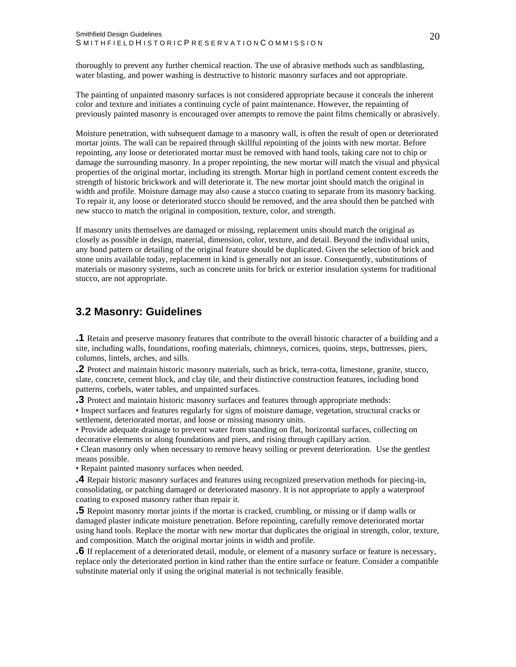<span id="page-20-0"></span>thoroughly to prevent any further chemical reaction. The use of abrasive methods such as sandblasting, water blasting, and power washing is destructive to historic masonry surfaces and not appropriate.

The painting of unpainted masonry surfaces is not considered appropriate because it conceals the inherent color and texture and initiates a continuing cycle of paint maintenance. However, the repainting of previously painted masonry is encouraged over attempts to remove the paint films chemically or abrasively.

Moisture penetration, with subsequent damage to a masonry wall, is often the result of open or deteriorated mortar joints. The wall can be repaired through skillful repointing of the joints with new mortar. Before repointing, any loose or deteriorated mortar must be removed with hand tools, taking care not to chip or damage the surrounding masonry. In a proper repointing, the new mortar will match the visual and physical properties of the original mortar, including its strength. Mortar high in portland cement content exceeds the strength of historic brickwork and will deteriorate it. The new mortar joint should match the original in width and profile. Moisture damage may also cause a stucco coating to separate from its masonry backing. To repair it, any loose or deteriorated stucco should be removed, and the area should then be patched with new stucco to match the original in composition, texture, color, and strength.

If masonry units themselves are damaged or missing, replacement units should match the original as closely as possible in design, material, dimension, color, texture, and detail. Beyond the individual units, any bond pattern or detailing of the original feature should be duplicated. Given the selection of brick and stone units available today, replacement in kind is generally not an issue. Consequently, substitutions of materials or masonry systems, such as concrete units for brick or exterior insulation systems for traditional stucco, are not appropriate.

#### **3.2 Masonry: Guidelines**

**.1** Retain and preserve masonry features that contribute to the overall historic character of a building and a site, including walls, foundations, roofing materials, chimneys, cornices, quoins, steps, buttresses, piers, columns, lintels, arches, and sills.

**.2** Protect and maintain historic masonry materials, such as brick, terra-cotta, limestone, granite, stucco, slate, concrete, cement block, and clay tile, and their distinctive construction features, including bond patterns, corbels, water tables, and unpainted surfaces.

**.3** Protect and maintain historic masonry surfaces and features through appropriate methods:

• Inspect surfaces and features regularly for signs of moisture damage, vegetation, structural cracks or settlement, deteriorated mortar, and loose or missing masonry units.

• Provide adequate drainage to prevent water from standing on flat, horizontal surfaces, collecting on decorative elements or along foundations and piers, and rising through capillary action.

• Clean masonry only when necessary to remove heavy soiling or prevent deterioration. Use the gentlest means possible.

• Repaint painted masonry surfaces when needed.

**.4** Repair historic masonry surfaces and features using recognized preservation methods for piecing-in, consolidating, or patching damaged or deteriorated masonry. It is not appropriate to apply a waterproof coating to exposed masonry rather than repair it.

**.5** Repoint masonry mortar joints if the mortar is cracked, crumbling, or missing or if damp walls or damaged plaster indicate moisture penetration. Before repointing, carefully remove deteriorated mortar using hand tools. Replace the mortar with new mortar that duplicates the original in strength, color, texture, and composition. Match the original mortar joints in width and profile.

**.6** If replacement of a deteriorated detail, module, or element of a masonry surface or feature is necessary, replace only the deteriorated portion in kind rather than the entire surface or feature. Consider a compatible substitute material only if using the original material is not technically feasible.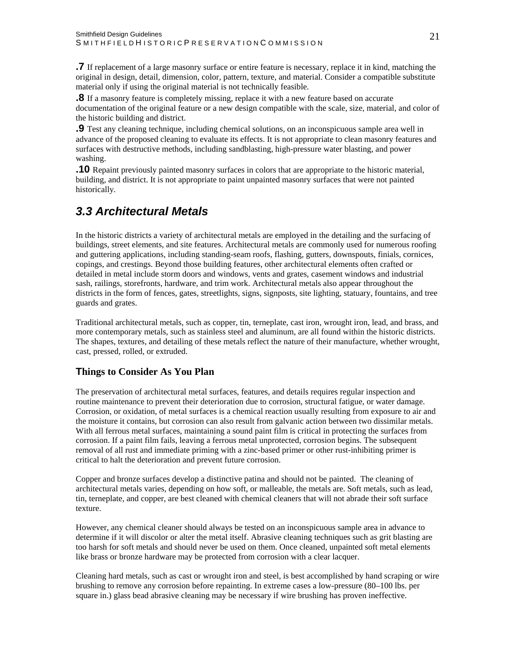<span id="page-21-0"></span>**.7** If replacement of a large masonry surface or entire feature is necessary, replace it in kind, matching the original in design, detail, dimension, color, pattern, texture, and material. Consider a compatible substitute material only if using the original material is not technically feasible.

**.8** If a masonry feature is completely missing, replace it with a new feature based on accurate documentation of the original feature or a new design compatible with the scale, size, material, and color of the historic building and district.

**.9** Test any cleaning technique, including chemical solutions, on an inconspicuous sample area well in advance of the proposed cleaning to evaluate its effects. It is not appropriate to clean masonry features and surfaces with destructive methods, including sandblasting, high-pressure water blasting, and power washing.

**.10** Repaint previously painted masonry surfaces in colors that are appropriate to the historic material, building, and district. It is not appropriate to paint unpainted masonry surfaces that were not painted historically.

## *3.3 Architectural Metals*

In the historic districts a variety of architectural metals are employed in the detailing and the surfacing of buildings, street elements, and site features. Architectural metals are commonly used for numerous roofing and guttering applications, including standing-seam roofs, flashing, gutters, downspouts, finials, cornices, copings, and crestings. Beyond those building features, other architectural elements often crafted or detailed in metal include storm doors and windows, vents and grates, casement windows and industrial sash, railings, storefronts, hardware, and trim work. Architectural metals also appear throughout the districts in the form of fences, gates, streetlights, signs, signposts, site lighting, statuary, fountains, and tree guards and grates.

Traditional architectural metals, such as copper, tin, terneplate, cast iron, wrought iron, lead, and brass, and more contemporary metals, such as stainless steel and aluminum, are all found within the historic districts. The shapes, textures, and detailing of these metals reflect the nature of their manufacture, whether wrought, cast, pressed, rolled, or extruded.

#### **Things to Consider As You Plan**

The preservation of architectural metal surfaces, features, and details requires regular inspection and routine maintenance to prevent their deterioration due to corrosion, structural fatigue, or water damage. Corrosion, or oxidation, of metal surfaces is a chemical reaction usually resulting from exposure to air and the moisture it contains, but corrosion can also result from galvanic action between two dissimilar metals. With all ferrous metal surfaces, maintaining a sound paint film is critical in protecting the surfaces from corrosion. If a paint film fails, leaving a ferrous metal unprotected, corrosion begins. The subsequent removal of all rust and immediate priming with a zinc-based primer or other rust-inhibiting primer is critical to halt the deterioration and prevent future corrosion.

Copper and bronze surfaces develop a distinctive patina and should not be painted. The cleaning of architectural metals varies, depending on how soft, or malleable, the metals are. Soft metals, such as lead, tin, terneplate, and copper, are best cleaned with chemical cleaners that will not abrade their soft surface texture.

However, any chemical cleaner should always be tested on an inconspicuous sample area in advance to determine if it will discolor or alter the metal itself. Abrasive cleaning techniques such as grit blasting are too harsh for soft metals and should never be used on them. Once cleaned, unpainted soft metal elements like brass or bronze hardware may be protected from corrosion with a clear lacquer.

Cleaning hard metals, such as cast or wrought iron and steel, is best accomplished by hand scraping or wire brushing to remove any corrosion before repainting. In extreme cases a low-pressure (80–100 lbs. per square in.) glass bead abrasive cleaning may be necessary if wire brushing has proven ineffective.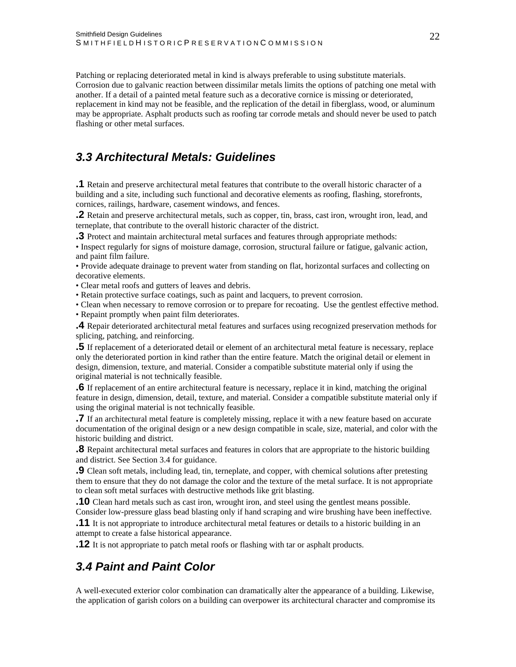<span id="page-22-0"></span>Patching or replacing deteriorated metal in kind is always preferable to using substitute materials. Corrosion due to galvanic reaction between dissimilar metals limits the options of patching one metal with another. If a detail of a painted metal feature such as a decorative cornice is missing or deteriorated, replacement in kind may not be feasible, and the replication of the detail in fiberglass, wood, or aluminum may be appropriate. Asphalt products such as roofing tar corrode metals and should never be used to patch flashing or other metal surfaces.

## *3.3 Architectural Metals: Guidelines*

**.1** Retain and preserve architectural metal features that contribute to the overall historic character of a building and a site, including such functional and decorative elements as roofing, flashing, storefronts, cornices, railings, hardware, casement windows, and fences.

**.2** Retain and preserve architectural metals, such as copper, tin, brass, cast iron, wrought iron, lead, and terneplate, that contribute to the overall historic character of the district.

**.3** Protect and maintain architectural metal surfaces and features through appropriate methods:

• Inspect regularly for signs of moisture damage, corrosion, structural failure or fatigue, galvanic action, and paint film failure.

• Provide adequate drainage to prevent water from standing on flat, horizontal surfaces and collecting on decorative elements.

• Clear metal roofs and gutters of leaves and debris.

• Retain protective surface coatings, such as paint and lacquers, to prevent corrosion.

• Clean when necessary to remove corrosion or to prepare for recoating. Use the gentlest effective method. • Repaint promptly when paint film deteriorates.

**.4** Repair deteriorated architectural metal features and surfaces using recognized preservation methods for splicing, patching, and reinforcing.

**.5** If replacement of a deteriorated detail or element of an architectural metal feature is necessary, replace only the deteriorated portion in kind rather than the entire feature. Match the original detail or element in design, dimension, texture, and material. Consider a compatible substitute material only if using the original material is not technically feasible.

**.6** If replacement of an entire architectural feature is necessary, replace it in kind, matching the original feature in design, dimension, detail, texture, and material. Consider a compatible substitute material only if using the original material is not technically feasible.

**.7** If an architectural metal feature is completely missing, replace it with a new feature based on accurate documentation of the original design or a new design compatible in scale, size, material, and color with the historic building and district.

**.8** Repaint architectural metal surfaces and features in colors that are appropriate to the historic building and district. See Section 3.4 for guidance.

**.9** Clean soft metals, including lead, tin, terneplate, and copper, with chemical solutions after pretesting them to ensure that they do not damage the color and the texture of the metal surface. It is not appropriate to clean soft metal surfaces with destructive methods like grit blasting.

**.10** Clean hard metals such as cast iron, wrought iron, and steel using the gentlest means possible. Consider low-pressure glass bead blasting only if hand scraping and wire brushing have been ineffective.

**.11** It is not appropriate to introduce architectural metal features or details to a historic building in an attempt to create a false historical appearance.

**.12** It is not appropriate to patch metal roofs or flashing with tar or asphalt products.

## *3.4 Paint and Paint Color*

A well-executed exterior color combination can dramatically alter the appearance of a building. Likewise, the application of garish colors on a building can overpower its architectural character and compromise its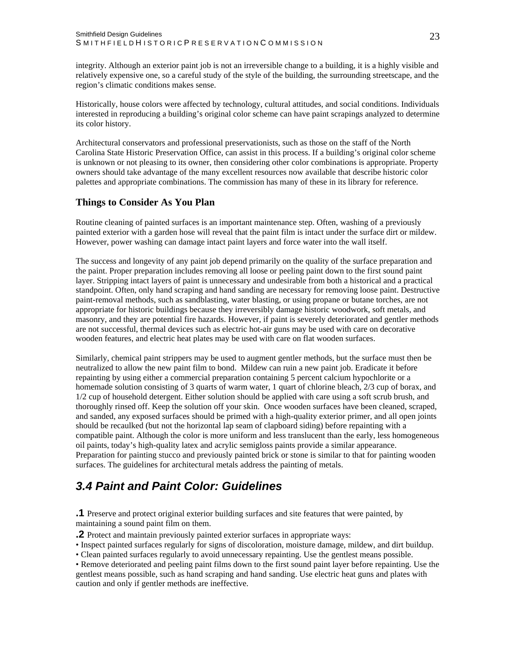<span id="page-23-0"></span>integrity. Although an exterior paint job is not an irreversible change to a building, it is a highly visible and relatively expensive one, so a careful study of the style of the building, the surrounding streetscape, and the region's climatic conditions makes sense.

Historically, house colors were affected by technology, cultural attitudes, and social conditions. Individuals interested in reproducing a building's original color scheme can have paint scrapings analyzed to determine its color history.

Architectural conservators and professional preservationists, such as those on the staff of the North Carolina State Historic Preservation Office, can assist in this process. If a building's original color scheme is unknown or not pleasing to its owner, then considering other color combinations is appropriate. Property owners should take advantage of the many excellent resources now available that describe historic color palettes and appropriate combinations. The commission has many of these in its library for reference.

#### **Things to Consider As You Plan**

Routine cleaning of painted surfaces is an important maintenance step. Often, washing of a previously painted exterior with a garden hose will reveal that the paint film is intact under the surface dirt or mildew. However, power washing can damage intact paint layers and force water into the wall itself.

The success and longevity of any paint job depend primarily on the quality of the surface preparation and the paint. Proper preparation includes removing all loose or peeling paint down to the first sound paint layer. Stripping intact layers of paint is unnecessary and undesirable from both a historical and a practical standpoint. Often, only hand scraping and hand sanding are necessary for removing loose paint. Destructive paint-removal methods, such as sandblasting, water blasting, or using propane or butane torches, are not appropriate for historic buildings because they irreversibly damage historic woodwork, soft metals, and masonry, and they are potential fire hazards. However, if paint is severely deteriorated and gentler methods are not successful, thermal devices such as electric hot-air guns may be used with care on decorative wooden features, and electric heat plates may be used with care on flat wooden surfaces.

Similarly, chemical paint strippers may be used to augment gentler methods, but the surface must then be neutralized to allow the new paint film to bond. Mildew can ruin a new paint job. Eradicate it before repainting by using either a commercial preparation containing 5 percent calcium hypochlorite or a homemade solution consisting of 3 quarts of warm water, 1 quart of chlorine bleach, 2/3 cup of borax, and 1/2 cup of household detergent. Either solution should be applied with care using a soft scrub brush, and thoroughly rinsed off. Keep the solution off your skin. Once wooden surfaces have been cleaned, scraped, and sanded, any exposed surfaces should be primed with a high-quality exterior primer, and all open joints should be recaulked (but not the horizontal lap seam of clapboard siding) before repainting with a compatible paint. Although the color is more uniform and less translucent than the early, less homogeneous oil paints, today's high-quality latex and acrylic semigloss paints provide a similar appearance. Preparation for painting stucco and previously painted brick or stone is similar to that for painting wooden surfaces. The guidelines for architectural metals address the painting of metals.

## *3.4 Paint and Paint Color: Guidelines*

**.1** Preserve and protect original exterior building surfaces and site features that were painted, by maintaining a sound paint film on them.

**.2** Protect and maintain previously painted exterior surfaces in appropriate ways:

• Inspect painted surfaces regularly for signs of discoloration, moisture damage, mildew, and dirt buildup.

• Clean painted surfaces regularly to avoid unnecessary repainting. Use the gentlest means possible.

• Remove deteriorated and peeling paint films down to the first sound paint layer before repainting. Use the gentlest means possible, such as hand scraping and hand sanding. Use electric heat guns and plates with caution and only if gentler methods are ineffective.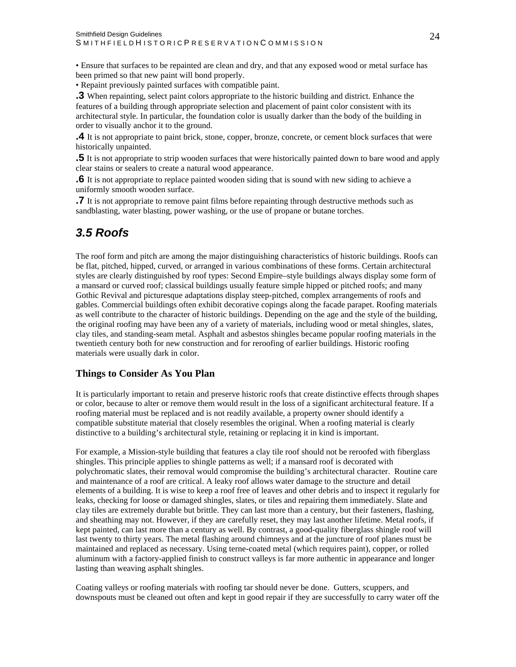<span id="page-24-0"></span>• Ensure that surfaces to be repainted are clean and dry, and that any exposed wood or metal surface has been primed so that new paint will bond properly.

• Repaint previously painted surfaces with compatible paint.

**.3** When repainting, select paint colors appropriate to the historic building and district. Enhance the features of a building through appropriate selection and placement of paint color consistent with its architectural style. In particular, the foundation color is usually darker than the body of the building in order to visually anchor it to the ground.

**.4** It is not appropriate to paint brick, stone, copper, bronze, concrete, or cement block surfaces that were historically unpainted.

**.5** It is not appropriate to strip wooden surfaces that were historically painted down to bare wood and apply clear stains or sealers to create a natural wood appearance.

**.6** It is not appropriate to replace painted wooden siding that is sound with new siding to achieve a uniformly smooth wooden surface.

**.7** It is not appropriate to remove paint films before repainting through destructive methods such as sandblasting, water blasting, power washing, or the use of propane or butane torches.

## *3.5 Roofs*

The roof form and pitch are among the major distinguishing characteristics of historic buildings. Roofs can be flat, pitched, hipped, curved, or arranged in various combinations of these forms. Certain architectural styles are clearly distinguished by roof types: Second Empire–style buildings always display some form of a mansard or curved roof; classical buildings usually feature simple hipped or pitched roofs; and many Gothic Revival and picturesque adaptations display steep-pitched, complex arrangements of roofs and gables. Commercial buildings often exhibit decorative copings along the facade parapet. Roofing materials as well contribute to the character of historic buildings. Depending on the age and the style of the building, the original roofing may have been any of a variety of materials, including wood or metal shingles, slates, clay tiles, and standing-seam metal. Asphalt and asbestos shingles became popular roofing materials in the twentieth century both for new construction and for reroofing of earlier buildings. Historic roofing materials were usually dark in color.

#### **Things to Consider As You Plan**

It is particularly important to retain and preserve historic roofs that create distinctive effects through shapes or color, because to alter or remove them would result in the loss of a significant architectural feature. If a roofing material must be replaced and is not readily available, a property owner should identify a compatible substitute material that closely resembles the original. When a roofing material is clearly distinctive to a building's architectural style, retaining or replacing it in kind is important.

For example, a Mission-style building that features a clay tile roof should not be reroofed with fiberglass shingles. This principle applies to shingle patterns as well; if a mansard roof is decorated with polychromatic slates, their removal would compromise the building's architectural character. Routine care and maintenance of a roof are critical. A leaky roof allows water damage to the structure and detail elements of a building. It is wise to keep a roof free of leaves and other debris and to inspect it regularly for leaks, checking for loose or damaged shingles, slates, or tiles and repairing them immediately. Slate and clay tiles are extremely durable but brittle. They can last more than a century, but their fasteners, flashing, and sheathing may not. However, if they are carefully reset, they may last another lifetime. Metal roofs, if kept painted, can last more than a century as well. By contrast, a good-quality fiberglass shingle roof will last twenty to thirty years. The metal flashing around chimneys and at the juncture of roof planes must be maintained and replaced as necessary. Using terne-coated metal (which requires paint), copper, or rolled aluminum with a factory-applied finish to construct valleys is far more authentic in appearance and longer lasting than weaving asphalt shingles.

Coating valleys or roofing materials with roofing tar should never be done. Gutters, scuppers, and downspouts must be cleaned out often and kept in good repair if they are successfully to carry water off the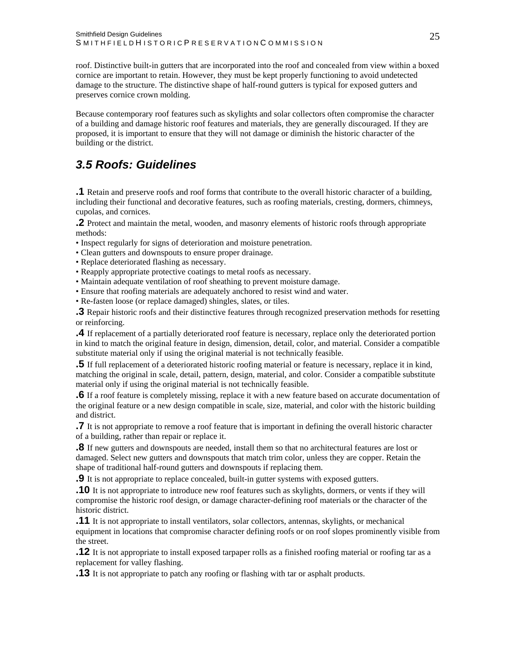<span id="page-25-0"></span>roof. Distinctive built-in gutters that are incorporated into the roof and concealed from view within a boxed cornice are important to retain. However, they must be kept properly functioning to avoid undetected damage to the structure. The distinctive shape of half-round gutters is typical for exposed gutters and preserves cornice crown molding.

Because contemporary roof features such as skylights and solar collectors often compromise the character of a building and damage historic roof features and materials, they are generally discouraged. If they are proposed, it is important to ensure that they will not damage or diminish the historic character of the building or the district.

## *3.5 Roofs: Guidelines*

**.1** Retain and preserve roofs and roof forms that contribute to the overall historic character of a building, including their functional and decorative features, such as roofing materials, cresting, dormers, chimneys, cupolas, and cornices.

**.2** Protect and maintain the metal, wooden, and masonry elements of historic roofs through appropriate methods:

- Inspect regularly for signs of deterioration and moisture penetration.
- Clean gutters and downspouts to ensure proper drainage.
- Replace deteriorated flashing as necessary.
- Reapply appropriate protective coatings to metal roofs as necessary.
- Maintain adequate ventilation of roof sheathing to prevent moisture damage.
- Ensure that roofing materials are adequately anchored to resist wind and water.
- Re-fasten loose (or replace damaged) shingles, slates, or tiles.

**.3** Repair historic roofs and their distinctive features through recognized preservation methods for resetting or reinforcing.

**.4** If replacement of a partially deteriorated roof feature is necessary, replace only the deteriorated portion in kind to match the original feature in design, dimension, detail, color, and material. Consider a compatible substitute material only if using the original material is not technically feasible.

**.5** If full replacement of a deteriorated historic roofing material or feature is necessary, replace it in kind, matching the original in scale, detail, pattern, design, material, and color. Consider a compatible substitute material only if using the original material is not technically feasible.

**.6** If a roof feature is completely missing, replace it with a new feature based on accurate documentation of the original feature or a new design compatible in scale, size, material, and color with the historic building and district.

**.7** It is not appropriate to remove a roof feature that is important in defining the overall historic character of a building, rather than repair or replace it.

**.8** If new gutters and downspouts are needed, install them so that no architectural features are lost or damaged. Select new gutters and downspouts that match trim color, unless they are copper. Retain the shape of traditional half-round gutters and downspouts if replacing them.

**.9** It is not appropriate to replace concealed, built-in gutter systems with exposed gutters.

**.10** It is not appropriate to introduce new roof features such as skylights, dormers, or vents if they will compromise the historic roof design, or damage character-defining roof materials or the character of the historic district.

**.11** It is not appropriate to install ventilators, solar collectors, antennas, skylights, or mechanical equipment in locations that compromise character defining roofs or on roof slopes prominently visible from the street.

**.12** It is not appropriate to install exposed tarpaper rolls as a finished roofing material or roofing tar as a replacement for valley flashing.

**.13** It is not appropriate to patch any roofing or flashing with tar or asphalt products.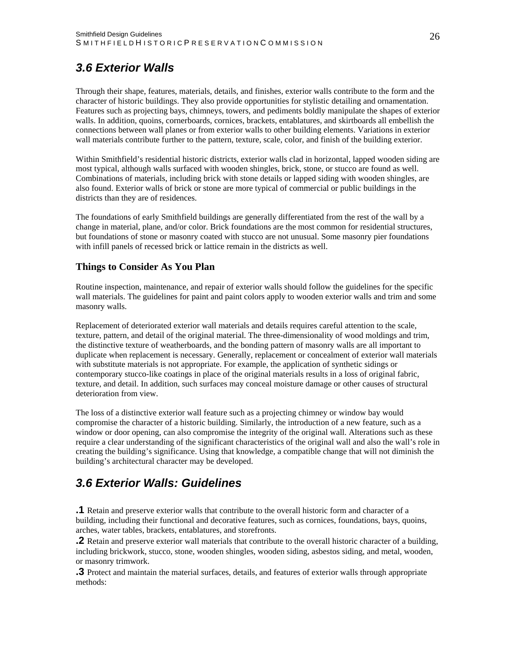## <span id="page-26-0"></span>*3.6 Exterior Walls*

Through their shape, features, materials, details, and finishes, exterior walls contribute to the form and the character of historic buildings. They also provide opportunities for stylistic detailing and ornamentation. Features such as projecting bays, chimneys, towers, and pediments boldly manipulate the shapes of exterior walls. In addition, quoins, cornerboards, cornices, brackets, entablatures, and skirtboards all embellish the connections between wall planes or from exterior walls to other building elements. Variations in exterior wall materials contribute further to the pattern, texture, scale, color, and finish of the building exterior.

Within Smithfield's residential historic districts, exterior walls clad in horizontal, lapped wooden siding are most typical, although walls surfaced with wooden shingles, brick, stone, or stucco are found as well. Combinations of materials, including brick with stone details or lapped siding with wooden shingles, are also found. Exterior walls of brick or stone are more typical of commercial or public buildings in the districts than they are of residences.

The foundations of early Smithfield buildings are generally differentiated from the rest of the wall by a change in material, plane, and/or color. Brick foundations are the most common for residential structures, but foundations of stone or masonry coated with stucco are not unusual. Some masonry pier foundations with infill panels of recessed brick or lattice remain in the districts as well.

#### **Things to Consider As You Plan**

Routine inspection, maintenance, and repair of exterior walls should follow the guidelines for the specific wall materials. The guidelines for paint and paint colors apply to wooden exterior walls and trim and some masonry walls.

Replacement of deteriorated exterior wall materials and details requires careful attention to the scale, texture, pattern, and detail of the original material. The three-dimensionality of wood moldings and trim, the distinctive texture of weatherboards, and the bonding pattern of masonry walls are all important to duplicate when replacement is necessary. Generally, replacement or concealment of exterior wall materials with substitute materials is not appropriate. For example, the application of synthetic sidings or contemporary stucco-like coatings in place of the original materials results in a loss of original fabric, texture, and detail. In addition, such surfaces may conceal moisture damage or other causes of structural deterioration from view.

The loss of a distinctive exterior wall feature such as a projecting chimney or window bay would compromise the character of a historic building. Similarly, the introduction of a new feature, such as a window or door opening, can also compromise the integrity of the original wall. Alterations such as these require a clear understanding of the significant characteristics of the original wall and also the wall's role in creating the building's significance. Using that knowledge, a compatible change that will not diminish the building's architectural character may be developed.

## *3.6 Exterior Walls: Guidelines*

**.1** Retain and preserve exterior walls that contribute to the overall historic form and character of a building, including their functional and decorative features, such as cornices, foundations, bays, quoins, arches, water tables, brackets, entablatures, and storefronts.

**.2** Retain and preserve exterior wall materials that contribute to the overall historic character of a building, including brickwork, stucco, stone, wooden shingles, wooden siding, asbestos siding, and metal, wooden, or masonry trimwork.

**.3** Protect and maintain the material surfaces, details, and features of exterior walls through appropriate methods: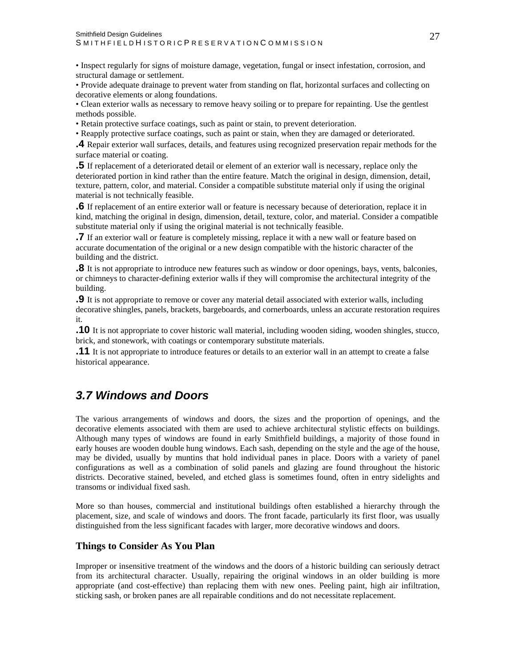<span id="page-27-0"></span>• Inspect regularly for signs of moisture damage, vegetation, fungal or insect infestation, corrosion, and structural damage or settlement.

• Provide adequate drainage to prevent water from standing on flat, horizontal surfaces and collecting on decorative elements or along foundations.

• Clean exterior walls as necessary to remove heavy soiling or to prepare for repainting. Use the gentlest methods possible.

- Retain protective surface coatings, such as paint or stain, to prevent deterioration.
- Reapply protective surface coatings, such as paint or stain, when they are damaged or deteriorated.

**.4** Repair exterior wall surfaces, details, and features using recognized preservation repair methods for the surface material or coating.

**.5** If replacement of a deteriorated detail or element of an exterior wall is necessary, replace only the deteriorated portion in kind rather than the entire feature. Match the original in design, dimension, detail, texture, pattern, color, and material. Consider a compatible substitute material only if using the original material is not technically feasible.

**.6** If replacement of an entire exterior wall or feature is necessary because of deterioration, replace it in kind, matching the original in design, dimension, detail, texture, color, and material. Consider a compatible substitute material only if using the original material is not technically feasible.

**.7** If an exterior wall or feature is completely missing, replace it with a new wall or feature based on accurate documentation of the original or a new design compatible with the historic character of the building and the district.

**.8** It is not appropriate to introduce new features such as window or door openings, bays, vents, balconies, or chimneys to character-defining exterior walls if they will compromise the architectural integrity of the building.

**.9** It is not appropriate to remove or cover any material detail associated with exterior walls, including decorative shingles, panels, brackets, bargeboards, and cornerboards, unless an accurate restoration requires it.

**.10** It is not appropriate to cover historic wall material, including wooden siding, wooden shingles, stucco, brick, and stonework, with coatings or contemporary substitute materials.

**.11** It is not appropriate to introduce features or details to an exterior wall in an attempt to create a false historical appearance.

### *3.7 Windows and Doors*

The various arrangements of windows and doors, the sizes and the proportion of openings, and the decorative elements associated with them are used to achieve architectural stylistic effects on buildings. Although many types of windows are found in early Smithfield buildings, a majority of those found in early houses are wooden double hung windows. Each sash, depending on the style and the age of the house, may be divided, usually by muntins that hold individual panes in place. Doors with a variety of panel configurations as well as a combination of solid panels and glazing are found throughout the historic districts. Decorative stained, beveled, and etched glass is sometimes found, often in entry sidelights and transoms or individual fixed sash.

More so than houses, commercial and institutional buildings often established a hierarchy through the placement, size, and scale of windows and doors. The front facade, particularly its first floor, was usually distinguished from the less significant facades with larger, more decorative windows and doors.

#### **Things to Consider As You Plan**

Improper or insensitive treatment of the windows and the doors of a historic building can seriously detract from its architectural character. Usually, repairing the original windows in an older building is more appropriate (and cost-effective) than replacing them with new ones. Peeling paint, high air infiltration, sticking sash, or broken panes are all repairable conditions and do not necessitate replacement.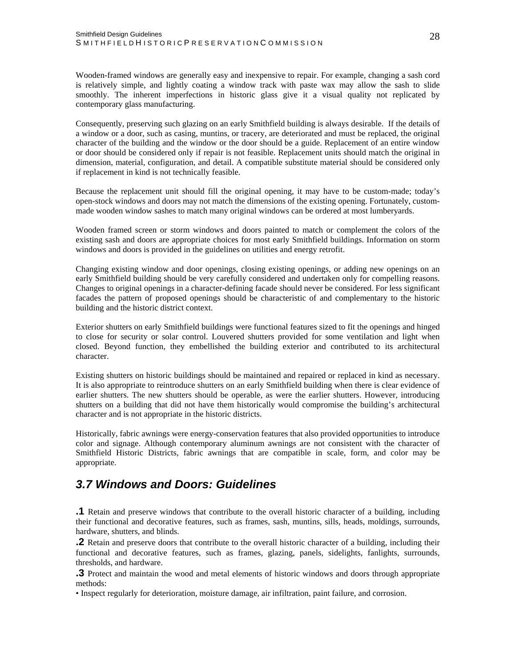<span id="page-28-0"></span>Wooden-framed windows are generally easy and inexpensive to repair. For example, changing a sash cord is relatively simple, and lightly coating a window track with paste wax may allow the sash to slide smoothly. The inherent imperfections in historic glass give it a visual quality not replicated by contemporary glass manufacturing.

Consequently, preserving such glazing on an early Smithfield building is always desirable. If the details of a window or a door, such as casing, muntins, or tracery, are deteriorated and must be replaced, the original character of the building and the window or the door should be a guide. Replacement of an entire window or door should be considered only if repair is not feasible. Replacement units should match the original in dimension, material, configuration, and detail. A compatible substitute material should be considered only if replacement in kind is not technically feasible.

Because the replacement unit should fill the original opening, it may have to be custom-made; today's open-stock windows and doors may not match the dimensions of the existing opening. Fortunately, custommade wooden window sashes to match many original windows can be ordered at most lumberyards.

Wooden framed screen or storm windows and doors painted to match or complement the colors of the existing sash and doors are appropriate choices for most early Smithfield buildings. Information on storm windows and doors is provided in the guidelines on utilities and energy retrofit.

Changing existing window and door openings, closing existing openings, or adding new openings on an early Smithfield building should be very carefully considered and undertaken only for compelling reasons. Changes to original openings in a character-defining facade should never be considered. For less significant facades the pattern of proposed openings should be characteristic of and complementary to the historic building and the historic district context.

Exterior shutters on early Smithfield buildings were functional features sized to fit the openings and hinged to close for security or solar control. Louvered shutters provided for some ventilation and light when closed. Beyond function, they embellished the building exterior and contributed to its architectural character.

Existing shutters on historic buildings should be maintained and repaired or replaced in kind as necessary. It is also appropriate to reintroduce shutters on an early Smithfield building when there is clear evidence of earlier shutters. The new shutters should be operable, as were the earlier shutters. However, introducing shutters on a building that did not have them historically would compromise the building's architectural character and is not appropriate in the historic districts.

Historically, fabric awnings were energy-conservation features that also provided opportunities to introduce color and signage. Although contemporary aluminum awnings are not consistent with the character of Smithfield Historic Districts, fabric awnings that are compatible in scale, form, and color may be appropriate.

## *3.7 Windows and Doors: Guidelines*

**.1** Retain and preserve windows that contribute to the overall historic character of a building, including their functional and decorative features, such as frames, sash, muntins, sills, heads, moldings, surrounds, hardware, shutters, and blinds.

**.2** Retain and preserve doors that contribute to the overall historic character of a building, including their functional and decorative features, such as frames, glazing, panels, sidelights, fanlights, surrounds, thresholds, and hardware.

**.3** Protect and maintain the wood and metal elements of historic windows and doors through appropriate methods:

• Inspect regularly for deterioration, moisture damage, air infiltration, paint failure, and corrosion.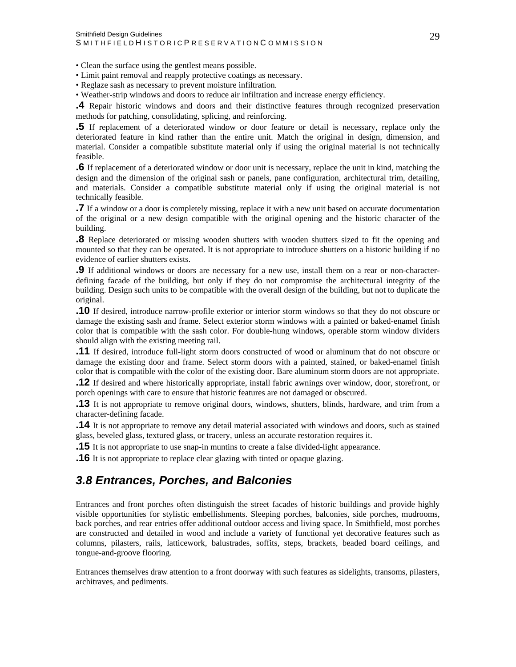<span id="page-29-0"></span>• Clean the surface using the gentlest means possible.

• Limit paint removal and reapply protective coatings as necessary.

• Reglaze sash as necessary to prevent moisture infiltration.

• Weather-strip windows and doors to reduce air infiltration and increase energy efficiency.

**.4** Repair historic windows and doors and their distinctive features through recognized preservation methods for patching, consolidating, splicing, and reinforcing.

**.5** If replacement of a deteriorated window or door feature or detail is necessary, replace only the deteriorated feature in kind rather than the entire unit. Match the original in design, dimension, and material. Consider a compatible substitute material only if using the original material is not technically feasible.

**.6** If replacement of a deteriorated window or door unit is necessary, replace the unit in kind, matching the design and the dimension of the original sash or panels, pane configuration, architectural trim, detailing, and materials. Consider a compatible substitute material only if using the original material is not technically feasible.

**.7** If a window or a door is completely missing, replace it with a new unit based on accurate documentation of the original or a new design compatible with the original opening and the historic character of the building.

**.8** Replace deteriorated or missing wooden shutters with wooden shutters sized to fit the opening and mounted so that they can be operated. It is not appropriate to introduce shutters on a historic building if no evidence of earlier shutters exists.

**.9** If additional windows or doors are necessary for a new use, install them on a rear or non-characterdefining facade of the building, but only if they do not compromise the architectural integrity of the building. Design such units to be compatible with the overall design of the building, but not to duplicate the original.

**.10** If desired, introduce narrow-profile exterior or interior storm windows so that they do not obscure or damage the existing sash and frame. Select exterior storm windows with a painted or baked-enamel finish color that is compatible with the sash color. For double-hung windows, operable storm window dividers should align with the existing meeting rail.

**.11** If desired, introduce full-light storm doors constructed of wood or aluminum that do not obscure or damage the existing door and frame. Select storm doors with a painted, stained, or baked-enamel finish color that is compatible with the color of the existing door. Bare aluminum storm doors are not appropriate.

**.12** If desired and where historically appropriate, install fabric awnings over window, door, storefront, or porch openings with care to ensure that historic features are not damaged or obscured.

**.13** It is not appropriate to remove original doors, windows, shutters, blinds, hardware, and trim from a character-defining facade.

**.14** It is not appropriate to remove any detail material associated with windows and doors, such as stained glass, beveled glass, textured glass, or tracery, unless an accurate restoration requires it.

**.15** It is not appropriate to use snap-in muntins to create a false divided-light appearance.

**.16** It is not appropriate to replace clear glazing with tinted or opaque glazing.

## *3.8 Entrances, Porches, and Balconies*

Entrances and front porches often distinguish the street facades of historic buildings and provide highly visible opportunities for stylistic embellishments. Sleeping porches, balconies, side porches, mudrooms, back porches, and rear entries offer additional outdoor access and living space. In Smithfield, most porches are constructed and detailed in wood and include a variety of functional yet decorative features such as columns, pilasters, rails, latticework, balustrades, soffits, steps, brackets, beaded board ceilings, and tongue-and-groove flooring.

Entrances themselves draw attention to a front doorway with such features as sidelights, transoms, pilasters, architraves, and pediments.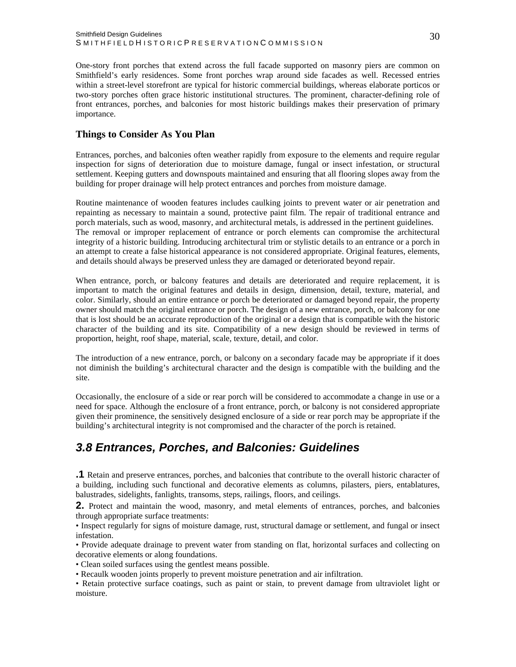<span id="page-30-0"></span>One-story front porches that extend across the full facade supported on masonry piers are common on Smithfield's early residences. Some front porches wrap around side facades as well. Recessed entries within a street-level storefront are typical for historic commercial buildings, whereas elaborate porticos or two-story porches often grace historic institutional structures. The prominent, character-defining role of front entrances, porches, and balconies for most historic buildings makes their preservation of primary importance.

#### **Things to Consider As You Plan**

Entrances, porches, and balconies often weather rapidly from exposure to the elements and require regular inspection for signs of deterioration due to moisture damage, fungal or insect infestation, or structural settlement. Keeping gutters and downspouts maintained and ensuring that all flooring slopes away from the building for proper drainage will help protect entrances and porches from moisture damage.

Routine maintenance of wooden features includes caulking joints to prevent water or air penetration and repainting as necessary to maintain a sound, protective paint film. The repair of traditional entrance and porch materials, such as wood, masonry, and architectural metals, is addressed in the pertinent guidelines. The removal or improper replacement of entrance or porch elements can compromise the architectural integrity of a historic building. Introducing architectural trim or stylistic details to an entrance or a porch in an attempt to create a false historical appearance is not considered appropriate. Original features, elements, and details should always be preserved unless they are damaged or deteriorated beyond repair.

When entrance, porch, or balcony features and details are deteriorated and require replacement, it is important to match the original features and details in design, dimension, detail, texture, material, and color. Similarly, should an entire entrance or porch be deteriorated or damaged beyond repair, the property owner should match the original entrance or porch. The design of a new entrance, porch, or balcony for one that is lost should be an accurate reproduction of the original or a design that is compatible with the historic character of the building and its site. Compatibility of a new design should be reviewed in terms of proportion, height, roof shape, material, scale, texture, detail, and color.

The introduction of a new entrance, porch, or balcony on a secondary facade may be appropriate if it does not diminish the building's architectural character and the design is compatible with the building and the site.

Occasionally, the enclosure of a side or rear porch will be considered to accommodate a change in use or a need for space. Although the enclosure of a front entrance, porch, or balcony is not considered appropriate given their prominence, the sensitively designed enclosure of a side or rear porch may be appropriate if the building's architectural integrity is not compromised and the character of the porch is retained.

## *3.8 Entrances, Porches, and Balconies: Guidelines*

**.1** Retain and preserve entrances, porches, and balconies that contribute to the overall historic character of a building, including such functional and decorative elements as columns, pilasters, piers, entablatures, balustrades, sidelights, fanlights, transoms, steps, railings, floors, and ceilings.

**2.** Protect and maintain the wood, masonry, and metal elements of entrances, porches, and balconies through appropriate surface treatments:

• Inspect regularly for signs of moisture damage, rust, structural damage or settlement, and fungal or insect infestation.

• Provide adequate drainage to prevent water from standing on flat, horizontal surfaces and collecting on decorative elements or along foundations.

• Clean soiled surfaces using the gentlest means possible.

• Recaulk wooden joints properly to prevent moisture penetration and air infiltration.

• Retain protective surface coatings, such as paint or stain, to prevent damage from ultraviolet light or moisture.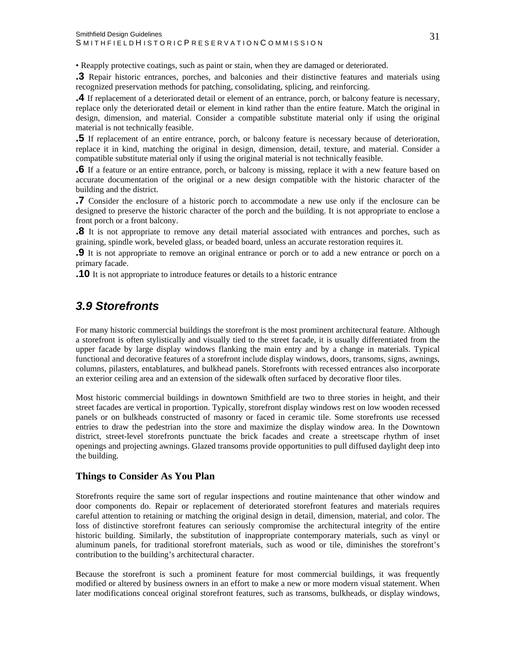<span id="page-31-0"></span>• Reapply protective coatings, such as paint or stain, when they are damaged or deteriorated.

**.3** Repair historic entrances, porches, and balconies and their distinctive features and materials using recognized preservation methods for patching, consolidating, splicing, and reinforcing.

**.4** If replacement of a deteriorated detail or element of an entrance, porch, or balcony feature is necessary, replace only the deteriorated detail or element in kind rather than the entire feature. Match the original in design, dimension, and material. Consider a compatible substitute material only if using the original material is not technically feasible.

**.5** If replacement of an entire entrance, porch, or balcony feature is necessary because of deterioration, replace it in kind, matching the original in design, dimension, detail, texture, and material. Consider a compatible substitute material only if using the original material is not technically feasible.

**.6** If a feature or an entire entrance, porch, or balcony is missing, replace it with a new feature based on accurate documentation of the original or a new design compatible with the historic character of the building and the district.

**.7** Consider the enclosure of a historic porch to accommodate a new use only if the enclosure can be designed to preserve the historic character of the porch and the building. It is not appropriate to enclose a front porch or a front balcony.

**.8** It is not appropriate to remove any detail material associated with entrances and porches, such as graining, spindle work, beveled glass, or beaded board, unless an accurate restoration requires it.

**.9** It is not appropriate to remove an original entrance or porch or to add a new entrance or porch on a primary facade.

**.10** It is not appropriate to introduce features or details to a historic entrance

## *3.9 Storefronts*

For many historic commercial buildings the storefront is the most prominent architectural feature. Although a storefront is often stylistically and visually tied to the street facade, it is usually differentiated from the upper facade by large display windows flanking the main entry and by a change in materials. Typical functional and decorative features of a storefront include display windows, doors, transoms, signs, awnings, columns, pilasters, entablatures, and bulkhead panels. Storefronts with recessed entrances also incorporate an exterior ceiling area and an extension of the sidewalk often surfaced by decorative floor tiles.

Most historic commercial buildings in downtown Smithfield are two to three stories in height, and their street facades are vertical in proportion. Typically, storefront display windows rest on low wooden recessed panels or on bulkheads constructed of masonry or faced in ceramic tile. Some storefronts use recessed entries to draw the pedestrian into the store and maximize the display window area. In the Downtown district, street-level storefronts punctuate the brick facades and create a streetscape rhythm of inset openings and projecting awnings. Glazed transoms provide opportunities to pull diffused daylight deep into the building.

#### **Things to Consider As You Plan**

Storefronts require the same sort of regular inspections and routine maintenance that other window and door components do. Repair or replacement of deteriorated storefront features and materials requires careful attention to retaining or matching the original design in detail, dimension, material, and color. The loss of distinctive storefront features can seriously compromise the architectural integrity of the entire historic building. Similarly, the substitution of inappropriate contemporary materials, such as vinyl or aluminum panels, for traditional storefront materials, such as wood or tile, diminishes the storefront's contribution to the building's architectural character.

Because the storefront is such a prominent feature for most commercial buildings, it was frequently modified or altered by business owners in an effort to make a new or more modern visual statement. When later modifications conceal original storefront features, such as transoms, bulkheads, or display windows,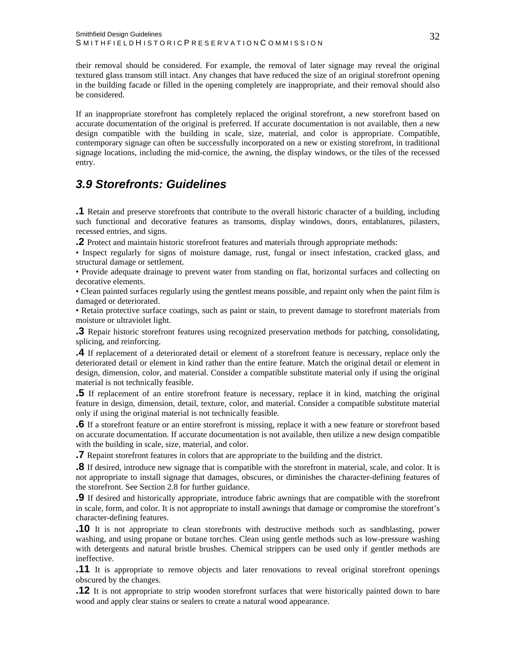<span id="page-32-0"></span>their removal should be considered. For example, the removal of later signage may reveal the original textured glass transom still intact. Any changes that have reduced the size of an original storefront opening in the building facade or filled in the opening completely are inappropriate, and their removal should also be considered.

If an inappropriate storefront has completely replaced the original storefront, a new storefront based on accurate documentation of the original is preferred. If accurate documentation is not available, then a new design compatible with the building in scale, size, material, and color is appropriate. Compatible, contemporary signage can often be successfully incorporated on a new or existing storefront, in traditional signage locations, including the mid-cornice, the awning, the display windows, or the tiles of the recessed entry.

## *3.9 Storefronts: Guidelines*

**.1** Retain and preserve storefronts that contribute to the overall historic character of a building, including such functional and decorative features as transoms, display windows, doors, entablatures, pilasters, recessed entries, and signs.

**.2** Protect and maintain historic storefront features and materials through appropriate methods:

• Inspect regularly for signs of moisture damage, rust, fungal or insect infestation, cracked glass, and structural damage or settlement.

• Provide adequate drainage to prevent water from standing on flat, horizontal surfaces and collecting on decorative elements.

• Clean painted surfaces regularly using the gentlest means possible, and repaint only when the paint film is damaged or deteriorated.

• Retain protective surface coatings, such as paint or stain, to prevent damage to storefront materials from moisture or ultraviolet light.

**.3** Repair historic storefront features using recognized preservation methods for patching, consolidating, splicing, and reinforcing.

**.4** If replacement of a deteriorated detail or element of a storefront feature is necessary, replace only the deteriorated detail or element in kind rather than the entire feature. Match the original detail or element in design, dimension, color, and material. Consider a compatible substitute material only if using the original material is not technically feasible.

**.5** If replacement of an entire storefront feature is necessary, replace it in kind, matching the original feature in design, dimension, detail, texture, color, and material. Consider a compatible substitute material only if using the original material is not technically feasible.

**.6** If a storefront feature or an entire storefront is missing, replace it with a new feature or storefront based on accurate documentation. If accurate documentation is not available, then utilize a new design compatible with the building in scale, size, material, and color.

**.7** Repaint storefront features in colors that are appropriate to the building and the district.

**.8** If desired, introduce new signage that is compatible with the storefront in material, scale, and color. It is not appropriate to install signage that damages, obscures, or diminishes the character-defining features of the storefront. See Section 2.8 for further guidance.

**.9** If desired and historically appropriate, introduce fabric awnings that are compatible with the storefront in scale, form, and color. It is not appropriate to install awnings that damage or compromise the storefront's character-defining features.

**.10** It is not appropriate to clean storefronts with destructive methods such as sandblasting, power washing, and using propane or butane torches. Clean using gentle methods such as low-pressure washing with detergents and natural bristle brushes. Chemical strippers can be used only if gentler methods are ineffective.

**.11** It is appropriate to remove objects and later renovations to reveal original storefront openings obscured by the changes.

**.12** It is not appropriate to strip wooden storefront surfaces that were historically painted down to bare wood and apply clear stains or sealers to create a natural wood appearance.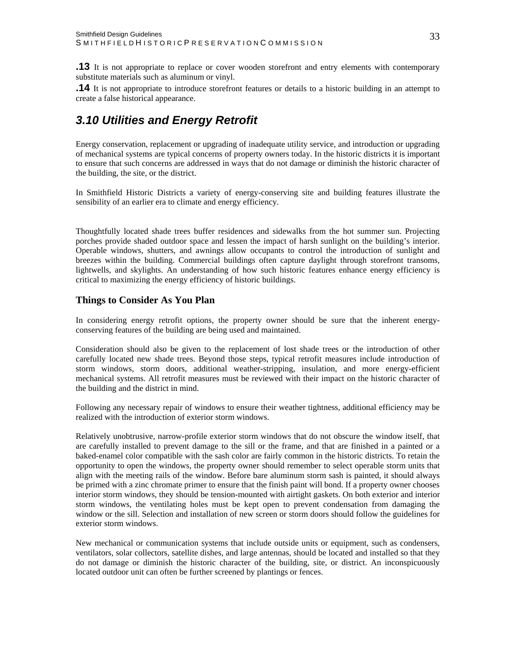<span id="page-33-0"></span>**.13** It is not appropriate to replace or cover wooden storefront and entry elements with contemporary substitute materials such as aluminum or vinyl.

**.14** It is not appropriate to introduce storefront features or details to a historic building in an attempt to create a false historical appearance.

## *3.10 Utilities and Energy Retrofit*

Energy conservation, replacement or upgrading of inadequate utility service, and introduction or upgrading of mechanical systems are typical concerns of property owners today. In the historic districts it is important to ensure that such concerns are addressed in ways that do not damage or diminish the historic character of the building, the site, or the district.

In Smithfield Historic Districts a variety of energy-conserving site and building features illustrate the sensibility of an earlier era to climate and energy efficiency.

Thoughtfully located shade trees buffer residences and sidewalks from the hot summer sun. Projecting porches provide shaded outdoor space and lessen the impact of harsh sunlight on the building's interior. Operable windows, shutters, and awnings allow occupants to control the introduction of sunlight and breezes within the building. Commercial buildings often capture daylight through storefront transoms, lightwells, and skylights. An understanding of how such historic features enhance energy efficiency is critical to maximizing the energy efficiency of historic buildings.

#### **Things to Consider As You Plan**

In considering energy retrofit options, the property owner should be sure that the inherent energyconserving features of the building are being used and maintained.

Consideration should also be given to the replacement of lost shade trees or the introduction of other carefully located new shade trees. Beyond those steps, typical retrofit measures include introduction of storm windows, storm doors, additional weather-stripping, insulation, and more energy-efficient mechanical systems. All retrofit measures must be reviewed with their impact on the historic character of the building and the district in mind.

Following any necessary repair of windows to ensure their weather tightness, additional efficiency may be realized with the introduction of exterior storm windows.

Relatively unobtrusive, narrow-profile exterior storm windows that do not obscure the window itself, that are carefully installed to prevent damage to the sill or the frame, and that are finished in a painted or a baked-enamel color compatible with the sash color are fairly common in the historic districts. To retain the opportunity to open the windows, the property owner should remember to select operable storm units that align with the meeting rails of the window. Before bare aluminum storm sash is painted, it should always be primed with a zinc chromate primer to ensure that the finish paint will bond. If a property owner chooses interior storm windows, they should be tension-mounted with airtight gaskets. On both exterior and interior storm windows, the ventilating holes must be kept open to prevent condensation from damaging the window or the sill. Selection and installation of new screen or storm doors should follow the guidelines for exterior storm windows.

New mechanical or communication systems that include outside units or equipment, such as condensers, ventilators, solar collectors, satellite dishes, and large antennas, should be located and installed so that they do not damage or diminish the historic character of the building, site, or district. An inconspicuously located outdoor unit can often be further screened by plantings or fences.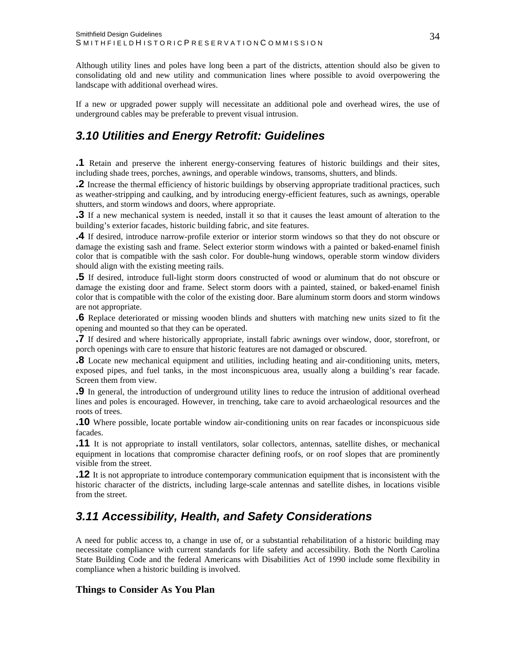<span id="page-34-0"></span>Although utility lines and poles have long been a part of the districts, attention should also be given to consolidating old and new utility and communication lines where possible to avoid overpowering the landscape with additional overhead wires.

If a new or upgraded power supply will necessitate an additional pole and overhead wires, the use of underground cables may be preferable to prevent visual intrusion.

## *3.10 Utilities and Energy Retrofit: Guidelines*

**.1** Retain and preserve the inherent energy-conserving features of historic buildings and their sites, including shade trees, porches, awnings, and operable windows, transoms, shutters, and blinds.

**.2** Increase the thermal efficiency of historic buildings by observing appropriate traditional practices, such as weather-stripping and caulking, and by introducing energy-efficient features, such as awnings, operable shutters, and storm windows and doors, where appropriate.

**.3** If a new mechanical system is needed, install it so that it causes the least amount of alteration to the building's exterior facades, historic building fabric, and site features.

**.4** If desired, introduce narrow-profile exterior or interior storm windows so that they do not obscure or damage the existing sash and frame. Select exterior storm windows with a painted or baked-enamel finish color that is compatible with the sash color. For double-hung windows, operable storm window dividers should align with the existing meeting rails.

**.5** If desired, introduce full-light storm doors constructed of wood or aluminum that do not obscure or damage the existing door and frame. Select storm doors with a painted, stained, or baked-enamel finish color that is compatible with the color of the existing door. Bare aluminum storm doors and storm windows are not appropriate.

**.6** Replace deteriorated or missing wooden blinds and shutters with matching new units sized to fit the opening and mounted so that they can be operated.

**.7** If desired and where historically appropriate, install fabric awnings over window, door, storefront, or porch openings with care to ensure that historic features are not damaged or obscured.

**.8** Locate new mechanical equipment and utilities, including heating and air-conditioning units, meters, exposed pipes, and fuel tanks, in the most inconspicuous area, usually along a building's rear facade. Screen them from view.

**.9** In general, the introduction of underground utility lines to reduce the intrusion of additional overhead lines and poles is encouraged. However, in trenching, take care to avoid archaeological resources and the roots of trees.

**.10** Where possible, locate portable window air-conditioning units on rear facades or inconspicuous side facades.

**.11** It is not appropriate to install ventilators, solar collectors, antennas, satellite dishes, or mechanical equipment in locations that compromise character defining roofs, or on roof slopes that are prominently visible from the street.

**.12** It is not appropriate to introduce contemporary communication equipment that is inconsistent with the historic character of the districts, including large-scale antennas and satellite dishes, in locations visible from the street.

## *3.11 Accessibility, Health, and Safety Considerations*

A need for public access to, a change in use of, or a substantial rehabilitation of a historic building may necessitate compliance with current standards for life safety and accessibility. Both the North Carolina State Building Code and the federal Americans with Disabilities Act of 1990 include some flexibility in compliance when a historic building is involved.

#### **Things to Consider As You Plan**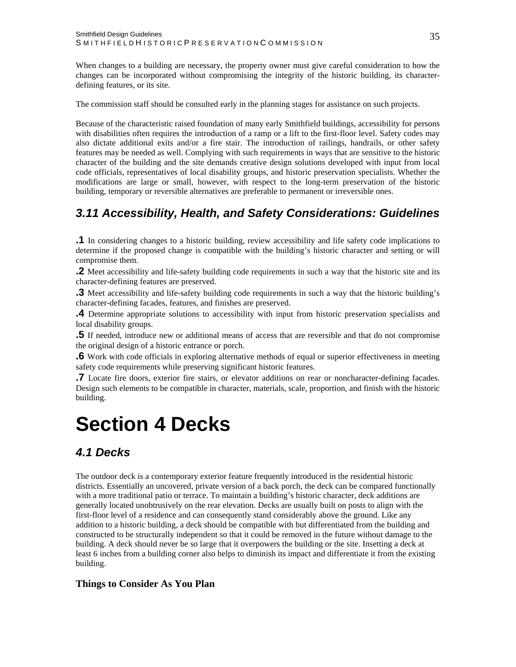<span id="page-35-0"></span>When changes to a building are necessary, the property owner must give careful consideration to how the changes can be incorporated without compromising the integrity of the historic building, its characterdefining features, or its site.

The commission staff should be consulted early in the planning stages for assistance on such projects.

Because of the characteristic raised foundation of many early Smithfield buildings, accessibility for persons with disabilities often requires the introduction of a ramp or a lift to the first-floor level. Safety codes may also dictate additional exits and/or a fire stair. The introduction of railings, handrails, or other safety features may be needed as well. Complying with such requirements in ways that are sensitive to the historic character of the building and the site demands creative design solutions developed with input from local code officials, representatives of local disability groups, and historic preservation specialists. Whether the modifications are large or small, however, with respect to the long-term preservation of the historic building, temporary or reversible alternatives are preferable to permanent or irreversible ones.

## *3.11 Accessibility, Health, and Safety Considerations: Guidelines*

**.1** In considering changes to a historic building, review accessibility and life safety code implications to determine if the proposed change is compatible with the building's historic character and setting or will compromise them.

**.2** Meet accessibility and life-safety building code requirements in such a way that the historic site and its character-defining features are preserved.

**.3** Meet accessibility and life-safety building code requirements in such a way that the historic building's character-defining facades, features, and finishes are preserved.

**.4** Determine appropriate solutions to accessibility with input from historic preservation specialists and local disability groups.

**.5** If needed, introduce new or additional means of access that are reversible and that do not compromise the original design of a historic entrance or porch.

**.6** Work with code officials in exploring alternative methods of equal or superior effectiveness in meeting safety code requirements while preserving significant historic features.

**.7** Locate fire doors, exterior fire stairs, or elevator additions on rear or noncharacter-defining facades. Design such elements to be compatible in character, materials, scale, proportion, and finish with the historic building.

## **Section 4 Decks**

## *4.1 Decks*

The outdoor deck is a contemporary exterior feature frequently introduced in the residential historic districts. Essentially an uncovered, private version of a back porch, the deck can be compared functionally with a more traditional patio or terrace. To maintain a building's historic character, deck additions are generally located unobtrusively on the rear elevation. Decks are usually built on posts to align with the first-floor level of a residence and can consequently stand considerably above the ground. Like any addition to a historic building, a deck should be compatible with but differentiated from the building and constructed to be structurally independent so that it could be removed in the future without damage to the building. A deck should never be so large that it overpowers the building or the site. Insetting a deck at least 6 inches from a building corner also helps to diminish its impact and differentiate it from the existing building.

#### **Things to Consider As You Plan**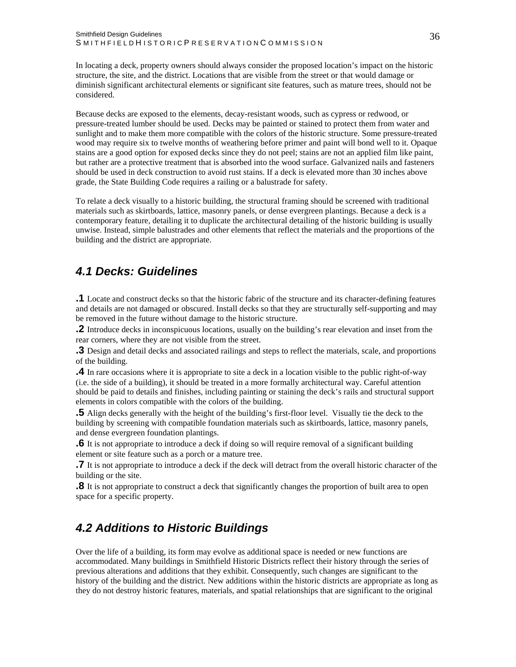<span id="page-36-0"></span>In locating a deck, property owners should always consider the proposed location's impact on the historic structure, the site, and the district. Locations that are visible from the street or that would damage or diminish significant architectural elements or significant site features, such as mature trees, should not be considered.

Because decks are exposed to the elements, decay-resistant woods, such as cypress or redwood, or pressure-treated lumber should be used. Decks may be painted or stained to protect them from water and sunlight and to make them more compatible with the colors of the historic structure. Some pressure-treated wood may require six to twelve months of weathering before primer and paint will bond well to it. Opaque stains are a good option for exposed decks since they do not peel; stains are not an applied film like paint, but rather are a protective treatment that is absorbed into the wood surface. Galvanized nails and fasteners should be used in deck construction to avoid rust stains. If a deck is elevated more than 30 inches above grade, the State Building Code requires a railing or a balustrade for safety.

To relate a deck visually to a historic building, the structural framing should be screened with traditional materials such as skirtboards, lattice, masonry panels, or dense evergreen plantings. Because a deck is a contemporary feature, detailing it to duplicate the architectural detailing of the historic building is usually unwise. Instead, simple balustrades and other elements that reflect the materials and the proportions of the building and the district are appropriate.

## *4.1 Decks: Guidelines*

**.1** Locate and construct decks so that the historic fabric of the structure and its character-defining features and details are not damaged or obscured. Install decks so that they are structurally self-supporting and may be removed in the future without damage to the historic structure.

**.2** Introduce decks in inconspicuous locations, usually on the building's rear elevation and inset from the rear corners, where they are not visible from the street.

**.3** Design and detail decks and associated railings and steps to reflect the materials, scale, and proportions of the building.

**.4** In rare occasions where it is appropriate to site a deck in a location visible to the public right-of-way (i.e. the side of a building), it should be treated in a more formally architectural way. Careful attention should be paid to details and finishes, including painting or staining the deck's rails and structural support elements in colors compatible with the colors of the building.

**.5** Align decks generally with the height of the building's first-floor level. Visually tie the deck to the building by screening with compatible foundation materials such as skirtboards, lattice, masonry panels, and dense evergreen foundation plantings.

**.6** It is not appropriate to introduce a deck if doing so will require removal of a significant building element or site feature such as a porch or a mature tree.

**.7** It is not appropriate to introduce a deck if the deck will detract from the overall historic character of the building or the site.

**.8** It is not appropriate to construct a deck that significantly changes the proportion of built area to open space for a specific property.

## *4.2 Additions to Historic Buildings*

Over the life of a building, its form may evolve as additional space is needed or new functions are accommodated. Many buildings in Smithfield Historic Districts reflect their history through the series of previous alterations and additions that they exhibit. Consequently, such changes are significant to the history of the building and the district. New additions within the historic districts are appropriate as long as they do not destroy historic features, materials, and spatial relationships that are significant to the original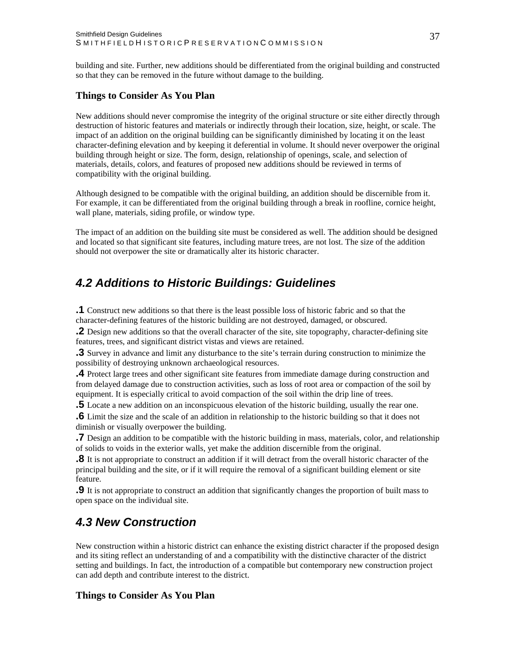<span id="page-37-0"></span>building and site. Further, new additions should be differentiated from the original building and constructed so that they can be removed in the future without damage to the building.

#### **Things to Consider As You Plan**

New additions should never compromise the integrity of the original structure or site either directly through destruction of historic features and materials or indirectly through their location, size, height, or scale. The impact of an addition on the original building can be significantly diminished by locating it on the least character-defining elevation and by keeping it deferential in volume. It should never overpower the original building through height or size. The form, design, relationship of openings, scale, and selection of materials, details, colors, and features of proposed new additions should be reviewed in terms of compatibility with the original building.

Although designed to be compatible with the original building, an addition should be discernible from it. For example, it can be differentiated from the original building through a break in roofline, cornice height, wall plane, materials, siding profile, or window type.

The impact of an addition on the building site must be considered as well. The addition should be designed and located so that significant site features, including mature trees, are not lost. The size of the addition should not overpower the site or dramatically alter its historic character.

## *4.2 Additions to Historic Buildings: Guidelines*

**.1** Construct new additions so that there is the least possible loss of historic fabric and so that the character-defining features of the historic building are not destroyed, damaged, or obscured.

**.2** Design new additions so that the overall character of the site, site topography, character-defining site features, trees, and significant district vistas and views are retained.

**.3** Survey in advance and limit any disturbance to the site's terrain during construction to minimize the possibility of destroying unknown archaeological resources.

**.4** Protect large trees and other significant site features from immediate damage during construction and from delayed damage due to construction activities, such as loss of root area or compaction of the soil by equipment. It is especially critical to avoid compaction of the soil within the drip line of trees.

**.5** Locate a new addition on an inconspicuous elevation of the historic building, usually the rear one.

**.6** Limit the size and the scale of an addition in relationship to the historic building so that it does not diminish or visually overpower the building.

**.7** Design an addition to be compatible with the historic building in mass, materials, color, and relationship of solids to voids in the exterior walls, yet make the addition discernible from the original.

**.8** It is not appropriate to construct an addition if it will detract from the overall historic character of the principal building and the site, or if it will require the removal of a significant building element or site feature.

**.9** It is not appropriate to construct an addition that significantly changes the proportion of built mass to open space on the individual site.

## *4.3 New Construction*

New construction within a historic district can enhance the existing district character if the proposed design and its siting reflect an understanding of and a compatibility with the distinctive character of the district setting and buildings. In fact, the introduction of a compatible but contemporary new construction project can add depth and contribute interest to the district.

#### **Things to Consider As You Plan**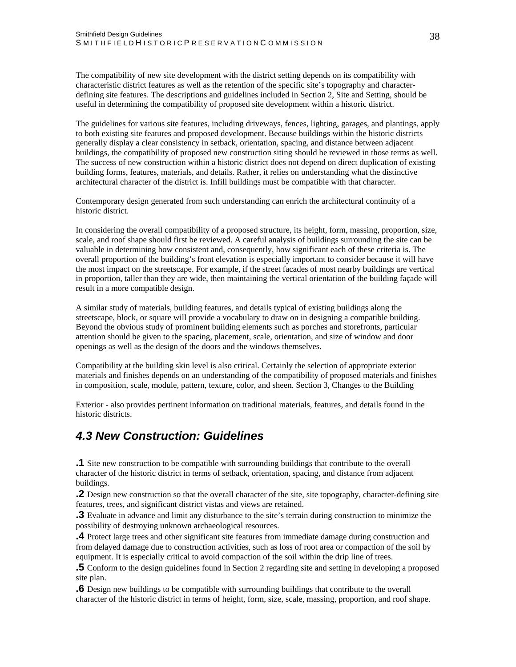<span id="page-38-0"></span>The compatibility of new site development with the district setting depends on its compatibility with characteristic district features as well as the retention of the specific site's topography and characterdefining site features. The descriptions and guidelines included in Section 2, Site and Setting, should be useful in determining the compatibility of proposed site development within a historic district.

The guidelines for various site features, including driveways, fences, lighting, garages, and plantings, apply to both existing site features and proposed development. Because buildings within the historic districts generally display a clear consistency in setback, orientation, spacing, and distance between adjacent buildings, the compatibility of proposed new construction siting should be reviewed in those terms as well. The success of new construction within a historic district does not depend on direct duplication of existing building forms, features, materials, and details. Rather, it relies on understanding what the distinctive architectural character of the district is. Infill buildings must be compatible with that character.

Contemporary design generated from such understanding can enrich the architectural continuity of a historic district.

In considering the overall compatibility of a proposed structure, its height, form, massing, proportion, size, scale, and roof shape should first be reviewed. A careful analysis of buildings surrounding the site can be valuable in determining how consistent and, consequently, how significant each of these criteria is. The overall proportion of the building's front elevation is especially important to consider because it will have the most impact on the streetscape. For example, if the street facades of most nearby buildings are vertical in proportion, taller than they are wide, then maintaining the vertical orientation of the building façade will result in a more compatible design.

A similar study of materials, building features, and details typical of existing buildings along the streetscape, block, or square will provide a vocabulary to draw on in designing a compatible building. Beyond the obvious study of prominent building elements such as porches and storefronts, particular attention should be given to the spacing, placement, scale, orientation, and size of window and door openings as well as the design of the doors and the windows themselves.

Compatibility at the building skin level is also critical. Certainly the selection of appropriate exterior materials and finishes depends on an understanding of the compatibility of proposed materials and finishes in composition, scale, module, pattern, texture, color, and sheen. Section 3, Changes to the Building

Exterior - also provides pertinent information on traditional materials, features, and details found in the historic districts.

## *4.3 New Construction: Guidelines*

**.1** Site new construction to be compatible with surrounding buildings that contribute to the overall character of the historic district in terms of setback, orientation, spacing, and distance from adjacent buildings.

**.2** Design new construction so that the overall character of the site, site topography, character-defining site features, trees, and significant district vistas and views are retained.

**.3** Evaluate in advance and limit any disturbance to the site's terrain during construction to minimize the possibility of destroying unknown archaeological resources.

**.4** Protect large trees and other significant site features from immediate damage during construction and from delayed damage due to construction activities, such as loss of root area or compaction of the soil by equipment. It is especially critical to avoid compaction of the soil within the drip line of trees.

**.5** Conform to the design guidelines found in Section 2 regarding site and setting in developing a proposed site plan.

**.6** Design new buildings to be compatible with surrounding buildings that contribute to the overall character of the historic district in terms of height, form, size, scale, massing, proportion, and roof shape.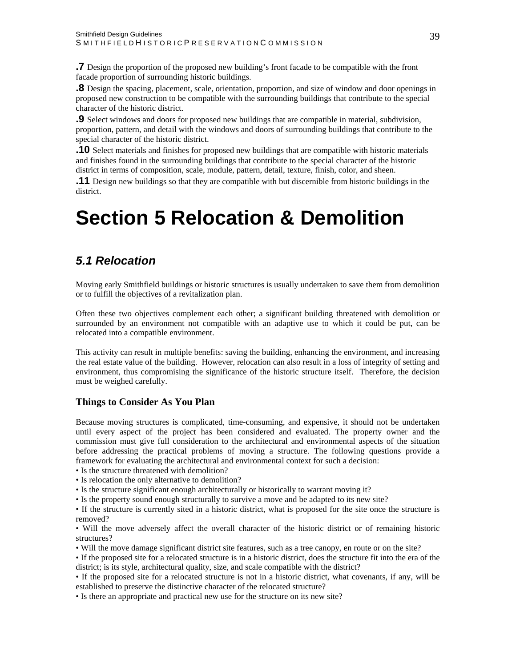<span id="page-39-0"></span>**.7** Design the proportion of the proposed new building's front facade to be compatible with the front facade proportion of surrounding historic buildings.

**.8** Design the spacing, placement, scale, orientation, proportion, and size of window and door openings in proposed new construction to be compatible with the surrounding buildings that contribute to the special character of the historic district.

**.9** Select windows and doors for proposed new buildings that are compatible in material, subdivision, proportion, pattern, and detail with the windows and doors of surrounding buildings that contribute to the special character of the historic district.

**.10** Select materials and finishes for proposed new buildings that are compatible with historic materials and finishes found in the surrounding buildings that contribute to the special character of the historic district in terms of composition, scale, module, pattern, detail, texture, finish, color, and sheen.

**.11** Design new buildings so that they are compatible with but discernible from historic buildings in the district.

## **Section 5 Relocation & Demolition**

## *5.1 Relocation*

Moving early Smithfield buildings or historic structures is usually undertaken to save them from demolition or to fulfill the objectives of a revitalization plan.

Often these two objectives complement each other; a significant building threatened with demolition or surrounded by an environment not compatible with an adaptive use to which it could be put, can be relocated into a compatible environment.

This activity can result in multiple benefits: saving the building, enhancing the environment, and increasing the real estate value of the building. However, relocation can also result in a loss of integrity of setting and environment, thus compromising the significance of the historic structure itself. Therefore, the decision must be weighed carefully.

#### **Things to Consider As You Plan**

Because moving structures is complicated, time-consuming, and expensive, it should not be undertaken until every aspect of the project has been considered and evaluated. The property owner and the commission must give full consideration to the architectural and environmental aspects of the situation before addressing the practical problems of moving a structure. The following questions provide a framework for evaluating the architectural and environmental context for such a decision:

- Is the structure threatened with demolition?
- Is relocation the only alternative to demolition?
- Is the structure significant enough architecturally or historically to warrant moving it?
- Is the property sound enough structurally to survive a move and be adapted to its new site?

• If the structure is currently sited in a historic district, what is proposed for the site once the structure is removed?

• Will the move adversely affect the overall character of the historic district or of remaining historic structures?

- Will the move damage significant district site features, such as a tree canopy, en route or on the site?
- If the proposed site for a relocated structure is in a historic district, does the structure fit into the era of the district; is its style, architectural quality, size, and scale compatible with the district?

• If the proposed site for a relocated structure is not in a historic district, what covenants, if any, will be established to preserve the distinctive character of the relocated structure?

• Is there an appropriate and practical new use for the structure on its new site?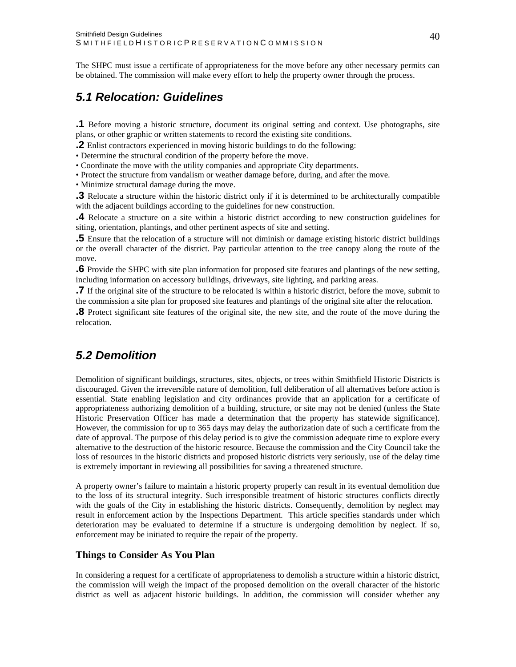<span id="page-40-0"></span>The SHPC must issue a certificate of appropriateness for the move before any other necessary permits can be obtained. The commission will make every effort to help the property owner through the process.

## *5.1 Relocation: Guidelines*

**.1** Before moving a historic structure, document its original setting and context. Use photographs, site plans, or other graphic or written statements to record the existing site conditions.

**.2** Enlist contractors experienced in moving historic buildings to do the following:

• Determine the structural condition of the property before the move.

• Coordinate the move with the utility companies and appropriate City departments.

• Protect the structure from vandalism or weather damage before, during, and after the move.

• Minimize structural damage during the move.

**.3** Relocate a structure within the historic district only if it is determined to be architecturally compatible with the adjacent buildings according to the guidelines for new construction.

**.4** Relocate a structure on a site within a historic district according to new construction guidelines for siting, orientation, plantings, and other pertinent aspects of site and setting.

**.5** Ensure that the relocation of a structure will not diminish or damage existing historic district buildings or the overall character of the district. Pay particular attention to the tree canopy along the route of the move.

**.6** Provide the SHPC with site plan information for proposed site features and plantings of the new setting, including information on accessory buildings, driveways, site lighting, and parking areas.

**.7** If the original site of the structure to be relocated is within a historic district, before the move, submit to the commission a site plan for proposed site features and plantings of the original site after the relocation.

**.8** Protect significant site features of the original site, the new site, and the route of the move during the relocation.

## *5.2 Demolition*

Demolition of significant buildings, structures, sites, objects, or trees within Smithfield Historic Districts is discouraged. Given the irreversible nature of demolition, full deliberation of all alternatives before action is essential. State enabling legislation and city ordinances provide that an application for a certificate of appropriateness authorizing demolition of a building, structure, or site may not be denied (unless the State Historic Preservation Officer has made a determination that the property has statewide significance). However, the commission for up to 365 days may delay the authorization date of such a certificate from the date of approval. The purpose of this delay period is to give the commission adequate time to explore every alternative to the destruction of the historic resource. Because the commission and the City Council take the loss of resources in the historic districts and proposed historic districts very seriously, use of the delay time is extremely important in reviewing all possibilities for saving a threatened structure.

A property owner's failure to maintain a historic property properly can result in its eventual demolition due to the loss of its structural integrity. Such irresponsible treatment of historic structures conflicts directly with the goals of the City in establishing the historic districts. Consequently, demolition by neglect may result in enforcement action by the Inspections Department. This article specifies standards under which deterioration may be evaluated to determine if a structure is undergoing demolition by neglect. If so, enforcement may be initiated to require the repair of the property.

#### **Things to Consider As You Plan**

In considering a request for a certificate of appropriateness to demolish a structure within a historic district, the commission will weigh the impact of the proposed demolition on the overall character of the historic district as well as adjacent historic buildings. In addition, the commission will consider whether any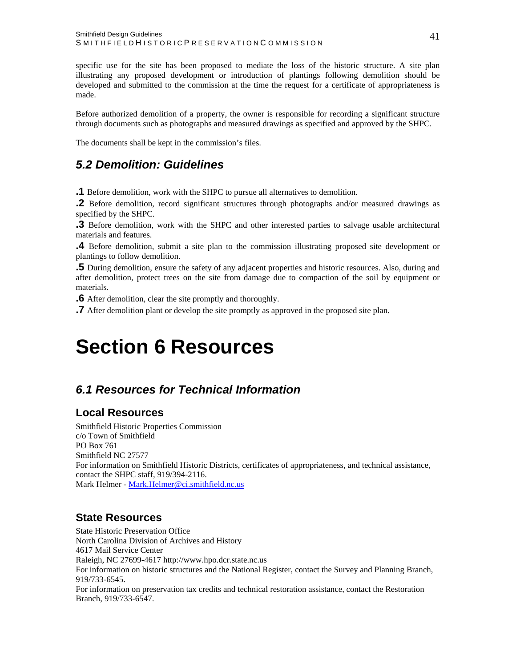<span id="page-41-0"></span>specific use for the site has been proposed to mediate the loss of the historic structure. A site plan illustrating any proposed development or introduction of plantings following demolition should be developed and submitted to the commission at the time the request for a certificate of appropriateness is made.

Before authorized demolition of a property, the owner is responsible for recording a significant structure through documents such as photographs and measured drawings as specified and approved by the SHPC.

The documents shall be kept in the commission's files.

## *5.2 Demolition: Guidelines*

**.1** Before demolition, work with the SHPC to pursue all alternatives to demolition.

**.2** Before demolition, record significant structures through photographs and/or measured drawings as specified by the SHPC.

**.3** Before demolition, work with the SHPC and other interested parties to salvage usable architectural materials and features.

**.4** Before demolition, submit a site plan to the commission illustrating proposed site development or plantings to follow demolition.

**.5** During demolition, ensure the safety of any adjacent properties and historic resources. Also, during and after demolition, protect trees on the site from damage due to compaction of the soil by equipment or materials.

**.6** After demolition, clear the site promptly and thoroughly.

**.7** After demolition plant or develop the site promptly as approved in the proposed site plan.

## **Section 6 Resources**

## *6.1 Resources for Technical Information*

## **Local Resources**

Smithfield Historic Properties Commission c/o Town of Smithfield PO Box 761 Smithfield NC 27577 For information on Smithfield Historic Districts, certificates of appropriateness, and technical assistance, contact the SHPC staff, 919/394-2116. Mark Helmer - [Mark.Helmer@ci.smithfield.nc.us](mailto:Mark.Helmer@ci.smithfield.nc.us) 

## **State Resources**

State Historic Preservation Office North Carolina Division of Archives and History 4617 Mail Service Center Raleigh, NC 27699-4617 http://www.hpo.dcr.state.nc.us For information on historic structures and the National Register, contact the Survey and Planning Branch, 919/733-6545. For information on preservation tax credits and technical restoration assistance, contact the Restoration Branch, 919/733-6547.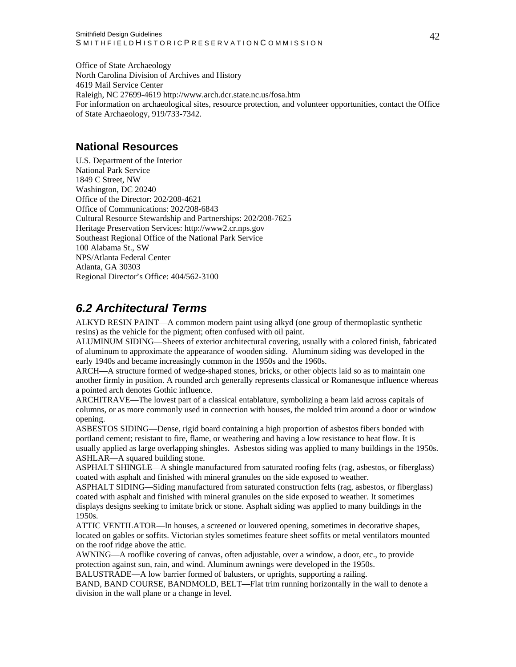<span id="page-42-0"></span>Office of State Archaeology North Carolina Division of Archives and History 4619 Mail Service Center Raleigh, NC 27699-4619 http://www.arch.dcr.state.nc.us/fosa.htm For information on archaeological sites, resource protection, and volunteer opportunities, contact the Office of State Archaeology, 919/733-7342.

### **National Resources**

U.S. Department of the Interior National Park Service 1849 C Street, NW Washington, DC 20240 Office of the Director: 202/208-4621 Office of Communications: 202/208-6843 Cultural Resource Stewardship and Partnerships: 202/208-7625 Heritage Preservation Services: http://www2.cr.nps.gov Southeast Regional Office of the National Park Service 100 Alabama St., SW NPS/Atlanta Federal Center Atlanta, GA 30303 Regional Director's Office: 404/562-3100

## *6.2 Architectural Terms*

ALKYD RESIN PAINT—A common modern paint using alkyd (one group of thermoplastic synthetic resins) as the vehicle for the pigment; often confused with oil paint.

ALUMINUM SIDING—Sheets of exterior architectural covering, usually with a colored finish, fabricated of aluminum to approximate the appearance of wooden siding. Aluminum siding was developed in the early 1940s and became increasingly common in the 1950s and the 1960s.

ARCH—A structure formed of wedge-shaped stones, bricks, or other objects laid so as to maintain one another firmly in position. A rounded arch generally represents classical or Romanesque influence whereas a pointed arch denotes Gothic influence.

ARCHITRAVE—The lowest part of a classical entablature, symbolizing a beam laid across capitals of columns, or as more commonly used in connection with houses, the molded trim around a door or window opening.

ASBESTOS SIDING—Dense, rigid board containing a high proportion of asbestos fibers bonded with portland cement; resistant to fire, flame, or weathering and having a low resistance to heat flow. It is usually applied as large overlapping shingles. Asbestos siding was applied to many buildings in the 1950s. ASHLAR—A squared building stone.

ASPHALT SHINGLE—A shingle manufactured from saturated roofing felts (rag, asbestos, or fiberglass) coated with asphalt and finished with mineral granules on the side exposed to weather.

ASPHALT SIDING—Siding manufactured from saturated construction felts (rag, asbestos, or fiberglass) coated with asphalt and finished with mineral granules on the side exposed to weather. It sometimes displays designs seeking to imitate brick or stone. Asphalt siding was applied to many buildings in the 1950s.

ATTIC VENTILATOR—In houses, a screened or louvered opening, sometimes in decorative shapes, located on gables or soffits. Victorian styles sometimes feature sheet soffits or metal ventilators mounted on the roof ridge above the attic.

AWNING—A rooflike covering of canvas, often adjustable, over a window, a door, etc., to provide protection against sun, rain, and wind. Aluminum awnings were developed in the 1950s.

BALUSTRADE—A low barrier formed of balusters, or uprights, supporting a railing.

BAND, BAND COURSE, BANDMOLD, BELT—Flat trim running horizontally in the wall to denote a division in the wall plane or a change in level.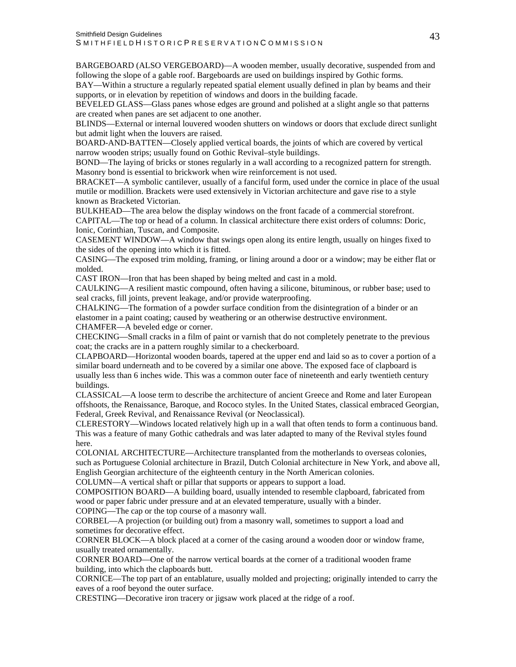BARGEBOARD (ALSO VERGEBOARD)—A wooden member, usually decorative, suspended from and following the slope of a gable roof. Bargeboards are used on buildings inspired by Gothic forms.

BAY—Within a structure a regularly repeated spatial element usually defined in plan by beams and their supports, or in elevation by repetition of windows and doors in the building facade.

BEVELED GLASS—Glass panes whose edges are ground and polished at a slight angle so that patterns are created when panes are set adjacent to one another.

BLINDS—External or internal louvered wooden shutters on windows or doors that exclude direct sunlight but admit light when the louvers are raised.

BOARD-AND-BATTEN—Closely applied vertical boards, the joints of which are covered by vertical narrow wooden strips; usually found on Gothic Revival–style buildings.

BOND—The laying of bricks or stones regularly in a wall according to a recognized pattern for strength. Masonry bond is essential to brickwork when wire reinforcement is not used.

BRACKET—A symbolic cantilever, usually of a fanciful form, used under the cornice in place of the usual mutile or modillion. Brackets were used extensively in Victorian architecture and gave rise to a style known as Bracketed Victorian.

BULKHEAD—The area below the display windows on the front facade of a commercial storefront.

CAPITAL—The top or head of a column. In classical architecture there exist orders of columns: Doric, Ionic, Corinthian, Tuscan, and Composite.

CASEMENT WINDOW—A window that swings open along its entire length, usually on hinges fixed to the sides of the opening into which it is fitted.

CASING—The exposed trim molding, framing, or lining around a door or a window; may be either flat or molded.

CAST IRON—Iron that has been shaped by being melted and cast in a mold.

CAULKING—A resilient mastic compound, often having a silicone, bituminous, or rubber base; used to seal cracks, fill joints, prevent leakage, and/or provide waterproofing.

CHALKING—The formation of a powder surface condition from the disintegration of a binder or an elastomer in a paint coating; caused by weathering or an otherwise destructive environment. CHAMFER—A beveled edge or corner.

CHECKING—Small cracks in a film of paint or varnish that do not completely penetrate to the previous coat; the cracks are in a pattern roughly similar to a checkerboard.

CLAPBOARD—Horizontal wooden boards, tapered at the upper end and laid so as to cover a portion of a similar board underneath and to be covered by a similar one above. The exposed face of clapboard is usually less than 6 inches wide. This was a common outer face of nineteenth and early twentieth century buildings.

CLASSICAL—A loose term to describe the architecture of ancient Greece and Rome and later European offshoots, the Renaissance, Baroque, and Rococo styles. In the United States, classical embraced Georgian, Federal, Greek Revival, and Renaissance Revival (or Neoclassical).

CLERESTORY—Windows located relatively high up in a wall that often tends to form a continuous band. This was a feature of many Gothic cathedrals and was later adapted to many of the Revival styles found here.

COLONIAL ARCHITECTURE—Architecture transplanted from the motherlands to overseas colonies, such as Portuguese Colonial architecture in Brazil, Dutch Colonial architecture in New York, and above all, English Georgian architecture of the eighteenth century in the North American colonies.

COLUMN—A vertical shaft or pillar that supports or appears to support a load.

COMPOSITION BOARD—A building board, usually intended to resemble clapboard, fabricated from wood or paper fabric under pressure and at an elevated temperature, usually with a binder.

COPING—The cap or the top course of a masonry wall. CORBEL—A projection (or building out) from a masonry wall, sometimes to support a load and

sometimes for decorative effect.

CORNER BLOCK—A block placed at a corner of the casing around a wooden door or window frame, usually treated ornamentally.

CORNER BOARD—One of the narrow vertical boards at the corner of a traditional wooden frame building, into which the clapboards butt.

CORNICE—The top part of an entablature, usually molded and projecting; originally intended to carry the eaves of a roof beyond the outer surface.

CRESTING—Decorative iron tracery or jigsaw work placed at the ridge of a roof.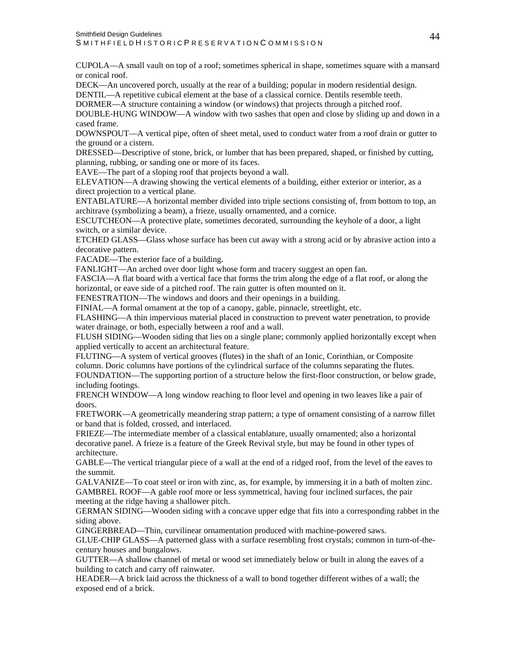CUPOLA—A small vault on top of a roof; sometimes spherical in shape, sometimes square with a mansard or conical roof.

DECK—An uncovered porch, usually at the rear of a building; popular in modern residential design. DENTIL—A repetitive cubical element at the base of a classical cornice. Dentils resemble teeth.

DORMER—A structure containing a window (or windows) that projects through a pitched roof.

DOUBLE-HUNG WINDOW—A window with two sashes that open and close by sliding up and down in a cased frame.

DOWNSPOUT—A vertical pipe, often of sheet metal, used to conduct water from a roof drain or gutter to the ground or a cistern.

DRESSED—Descriptive of stone, brick, or lumber that has been prepared, shaped, or finished by cutting, planning, rubbing, or sanding one or more of its faces.

EAVE—The part of a sloping roof that projects beyond a wall.

ELEVATION—A drawing showing the vertical elements of a building, either exterior or interior, as a direct projection to a vertical plane.

ENTABLATURE—A horizontal member divided into triple sections consisting of, from bottom to top, an architrave (symbolizing a beam), a frieze, usually ornamented, and a cornice.

ESCUTCHEON—A protective plate, sometimes decorated, surrounding the keyhole of a door, a light switch, or a similar device.

ETCHED GLASS—Glass whose surface has been cut away with a strong acid or by abrasive action into a decorative pattern.

FACADE—The exterior face of a building.

FANLIGHT—An arched over door light whose form and tracery suggest an open fan.

FASCIA—A flat board with a vertical face that forms the trim along the edge of a flat roof, or along the horizontal, or eave side of a pitched roof. The rain gutter is often mounted on it.

FENESTRATION—The windows and doors and their openings in a building.

FINIAL—A formal ornament at the top of a canopy, gable, pinnacle, streetlight, etc.

FLASHING—A thin impervious material placed in construction to prevent water penetration, to provide water drainage, or both, especially between a roof and a wall.

FLUSH SIDING—Wooden siding that lies on a single plane; commonly applied horizontally except when applied vertically to accent an architectural feature.

FLUTING—A system of vertical grooves (flutes) in the shaft of an Ionic, Corinthian, or Composite column. Doric columns have portions of the cylindrical surface of the columns separating the flutes. FOUNDATION—The supporting portion of a structure below the first-floor construction, or below grade, including footings.

FRENCH WINDOW—A long window reaching to floor level and opening in two leaves like a pair of doors.

FRETWORK—A geometrically meandering strap pattern; a type of ornament consisting of a narrow fillet or band that is folded, crossed, and interlaced.

FRIEZE—The intermediate member of a classical entablature, usually ornamented; also a horizontal decorative panel. A frieze is a feature of the Greek Revival style, but may be found in other types of architecture.

GABLE—The vertical triangular piece of a wall at the end of a ridged roof, from the level of the eaves to the summit.

GALVANIZE—To coat steel or iron with zinc, as, for example, by immersing it in a bath of molten zinc. GAMBREL ROOF—A gable roof more or less symmetrical, having four inclined surfaces, the pair meeting at the ridge having a shallower pitch.

GERMAN SIDING—Wooden siding with a concave upper edge that fits into a corresponding rabbet in the siding above.

GINGERBREAD—Thin, curvilinear ornamentation produced with machine-powered saws.

GLUE-CHIP GLASS—A patterned glass with a surface resembling frost crystals; common in turn-of-thecentury houses and bungalows.

GUTTER—A shallow channel of metal or wood set immediately below or built in along the eaves of a building to catch and carry off rainwater.

HEADER—A brick laid across the thickness of a wall to bond together different withes of a wall; the exposed end of a brick.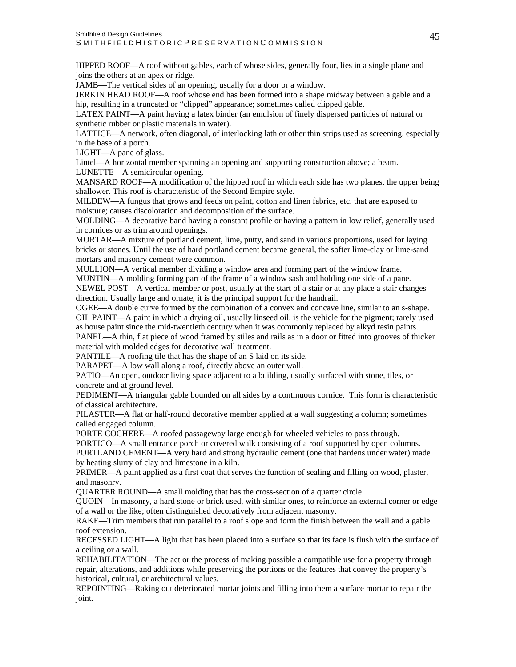HIPPED ROOF—A roof without gables, each of whose sides, generally four, lies in a single plane and joins the others at an apex or ridge.

JAMB—The vertical sides of an opening, usually for a door or a window.

JERKIN HEAD ROOF—A roof whose end has been formed into a shape midway between a gable and a hip, resulting in a truncated or "clipped" appearance; sometimes called clipped gable.

LATEX PAINT—A paint having a latex binder (an emulsion of finely dispersed particles of natural or synthetic rubber or plastic materials in water).

LATTICE—A network, often diagonal, of interlocking lath or other thin strips used as screening, especially in the base of a porch.

LIGHT—A pane of glass.

Lintel—A horizontal member spanning an opening and supporting construction above; a beam.

LUNETTE—A semicircular opening.

MANSARD ROOF—A modification of the hipped roof in which each side has two planes, the upper being shallower. This roof is characteristic of the Second Empire style.

MILDEW—A fungus that grows and feeds on paint, cotton and linen fabrics, etc. that are exposed to moisture; causes discoloration and decomposition of the surface.

MOLDING—A decorative band having a constant profile or having a pattern in low relief, generally used in cornices or as trim around openings.

MORTAR—A mixture of portland cement, lime, putty, and sand in various proportions, used for laying bricks or stones. Until the use of hard portland cement became general, the softer lime-clay or lime-sand mortars and masonry cement were common.

MULLION—A vertical member dividing a window area and forming part of the window frame.

MUNTIN—A molding forming part of the frame of a window sash and holding one side of a pane. NEWEL POST—A vertical member or post, usually at the start of a stair or at any place a stair changes direction. Usually large and ornate, it is the principal support for the handrail.

OGEE—A double curve formed by the combination of a convex and concave line, similar to an s-shape. OIL PAINT—A paint in which a drying oil, usually linseed oil, is the vehicle for the pigment; rarely used as house paint since the mid-twentieth century when it was commonly replaced by alkyd resin paints.

PANEL—A thin, flat piece of wood framed by stiles and rails as in a door or fitted into grooves of thicker material with molded edges for decorative wall treatment.

PANTILE—A roofing tile that has the shape of an S laid on its side.

PARAPET—A low wall along a roof, directly above an outer wall.

PATIO—An open, outdoor living space adjacent to a building, usually surfaced with stone, tiles, or concrete and at ground level.

PEDIMENT—A triangular gable bounded on all sides by a continuous cornice. This form is characteristic of classical architecture.

PILASTER—A flat or half-round decorative member applied at a wall suggesting a column; sometimes called engaged column.

PORTE COCHERE—A roofed passageway large enough for wheeled vehicles to pass through.

PORTICO—A small entrance porch or covered walk consisting of a roof supported by open columns.

PORTLAND CEMENT—A very hard and strong hydraulic cement (one that hardens under water) made by heating slurry of clay and limestone in a kiln.

PRIMER—A paint applied as a first coat that serves the function of sealing and filling on wood, plaster, and masonry.

QUARTER ROUND—A small molding that has the cross-section of a quarter circle.

QUOIN—In masonry, a hard stone or brick used, with similar ones, to reinforce an external corner or edge of a wall or the like; often distinguished decoratively from adjacent masonry.

RAKE—Trim members that run parallel to a roof slope and form the finish between the wall and a gable roof extension.

RECESSED LIGHT—A light that has been placed into a surface so that its face is flush with the surface of a ceiling or a wall.

REHABILITATION—The act or the process of making possible a compatible use for a property through repair, alterations, and additions while preserving the portions or the features that convey the property's historical, cultural, or architectural values.

REPOINTING—Raking out deteriorated mortar joints and filling into them a surface mortar to repair the joint.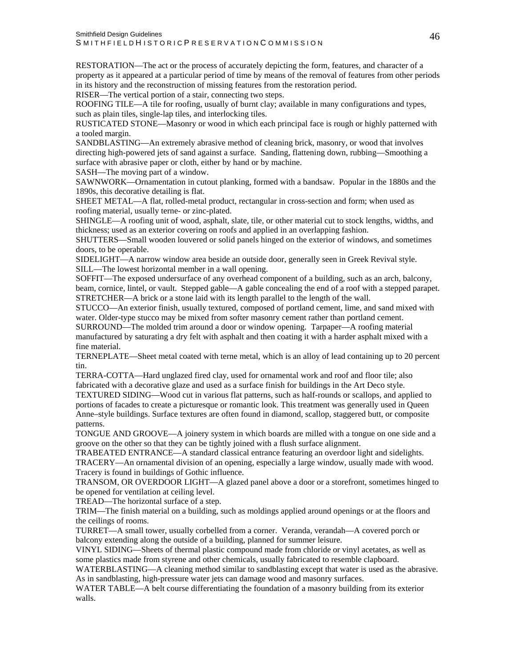RESTORATION—The act or the process of accurately depicting the form, features, and character of a property as it appeared at a particular period of time by means of the removal of features from other periods in its history and the reconstruction of missing features from the restoration period. RISER—The vertical portion of a stair, connecting two steps.

ROOFING TILE—A tile for roofing, usually of burnt clay; available in many configurations and types, such as plain tiles, single-lap tiles, and interlocking tiles.

RUSTICATED STONE—Masonry or wood in which each principal face is rough or highly patterned with a tooled margin.

SANDBLASTING—An extremely abrasive method of cleaning brick, masonry, or wood that involves directing high-powered jets of sand against a surface. Sanding, flattening down, rubbing—Smoothing a surface with abrasive paper or cloth, either by hand or by machine.

SASH—The moving part of a window.

SAWNWORK—Ornamentation in cutout planking, formed with a bandsaw. Popular in the 1880s and the 1890s, this decorative detailing is flat.

SHEET METAL—A flat, rolled-metal product, rectangular in cross-section and form; when used as roofing material, usually terne- or zinc-plated.

SHINGLE—A roofing unit of wood, asphalt, slate, tile, or other material cut to stock lengths, widths, and thickness; used as an exterior covering on roofs and applied in an overlapping fashion.

SHUTTERS—Small wooden louvered or solid panels hinged on the exterior of windows, and sometimes doors, to be operable.

SIDELIGHT—A narrow window area beside an outside door, generally seen in Greek Revival style. SILL—The lowest horizontal member in a wall opening.

SOFFIT—The exposed undersurface of any overhead component of a building, such as an arch, balcony, beam, cornice, lintel, or vault. Stepped gable—A gable concealing the end of a roof with a stepped parapet. STRETCHER—A brick or a stone laid with its length parallel to the length of the wall.

STUCCO—An exterior finish, usually textured, composed of portland cement, lime, and sand mixed with water. Older-type stucco may be mixed from softer masonry cement rather than portland cement.

SURROUND—The molded trim around a door or window opening. Tarpaper—A roofing material manufactured by saturating a dry felt with asphalt and then coating it with a harder asphalt mixed with a fine material.

TERNEPLATE—Sheet metal coated with terne metal, which is an alloy of lead containing up to 20 percent tin.

TERRA-COTTA—Hard unglazed fired clay, used for ornamental work and roof and floor tile; also fabricated with a decorative glaze and used as a surface finish for buildings in the Art Deco style.

TEXTURED SIDING—Wood cut in various flat patterns, such as half-rounds or scallops, and applied to portions of facades to create a picturesque or romantic look. This treatment was generally used in Queen Anne–style buildings. Surface textures are often found in diamond, scallop, staggered butt, or composite patterns.

TONGUE AND GROOVE—A joinery system in which boards are milled with a tongue on one side and a groove on the other so that they can be tightly joined with a flush surface alignment.

TRABEATED ENTRANCE—A standard classical entrance featuring an overdoor light and sidelights. TRACERY—An ornamental division of an opening, especially a large window, usually made with wood. Tracery is found in buildings of Gothic influence.

TRANSOM, OR OVERDOOR LIGHT—A glazed panel above a door or a storefront, sometimes hinged to be opened for ventilation at ceiling level.

TREAD—The horizontal surface of a step.

TRIM—The finish material on a building, such as moldings applied around openings or at the floors and the ceilings of rooms.

TURRET—A small tower, usually corbelled from a corner. Veranda, verandah—A covered porch or balcony extending along the outside of a building, planned for summer leisure.

VINYL SIDING—Sheets of thermal plastic compound made from chloride or vinyl acetates, as well as some plastics made from styrene and other chemicals, usually fabricated to resemble clapboard.

WATERBLASTING—A cleaning method similar to sandblasting except that water is used as the abrasive. As in sandblasting, high-pressure water jets can damage wood and masonry surfaces.

WATER TABLE—A belt course differentiating the foundation of a masonry building from its exterior walls.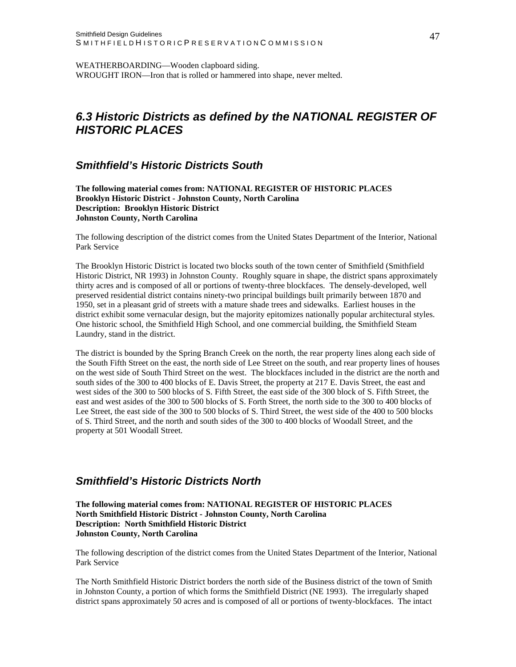<span id="page-47-0"></span>WEATHERBOARDING—Wooden clapboard siding. WROUGHT IRON—Iron that is rolled or hammered into shape, never melted.

## *6.3 Historic Districts as defined by the NATIONAL REGISTER OF HISTORIC PLACES*

#### *Smithfield's Historic Districts South*

**The following material comes from: NATIONAL REGISTER OF HISTORIC PLACES Brooklyn Historic District - Johnston County, North Carolina Description: Brooklyn Historic District Johnston County, North Carolina**

The following description of the district comes from the United States Department of the Interior, National Park Service

The Brooklyn Historic District is located two blocks south of the town center of Smithfield (Smithfield Historic District, NR 1993) in Johnston County. Roughly square in shape, the district spans approximately thirty acres and is composed of all or portions of twenty-three blockfaces. The densely-developed, well preserved residential district contains ninety-two principal buildings built primarily between 1870 and 1950, set in a pleasant grid of streets with a mature shade trees and sidewalks. Earliest houses in the district exhibit some vernacular design, but the majority epitomizes nationally popular architectural styles. One historic school, the Smithfield High School, and one commercial building, the Smithfield Steam Laundry, stand in the district.

The district is bounded by the Spring Branch Creek on the north, the rear property lines along each side of the South Fifth Street on the east, the north side of Lee Street on the south, and rear property lines of houses on the west side of South Third Street on the west. The blockfaces included in the district are the north and south sides of the 300 to 400 blocks of E. Davis Street, the property at 217 E. Davis Street, the east and west sides of the 300 to 500 blocks of S. Fifth Street, the east side of the 300 block of S. Fifth Street, the east and west asides of the 300 to 500 blocks of S. Forth Street, the north side to the 300 to 400 blocks of Lee Street, the east side of the 300 to 500 blocks of S. Third Street, the west side of the 400 to 500 blocks of S. Third Street, and the north and south sides of the 300 to 400 blocks of Woodall Street, and the property at 501 Woodall Street.

#### *Smithfield's Historic Districts North*

**The following material comes from: NATIONAL REGISTER OF HISTORIC PLACES North Smithfield Historic District - Johnston County, North Carolina Description: North Smithfield Historic District Johnston County, North Carolina** 

The following description of the district comes from the United States Department of the Interior, National Park Service

The North Smithfield Historic District borders the north side of the Business district of the town of Smith in Johnston County, a portion of which forms the Smithfield District (NE 1993). The irregularly shaped district spans approximately 50 acres and is composed of all or portions of twenty-blockfaces. The intact